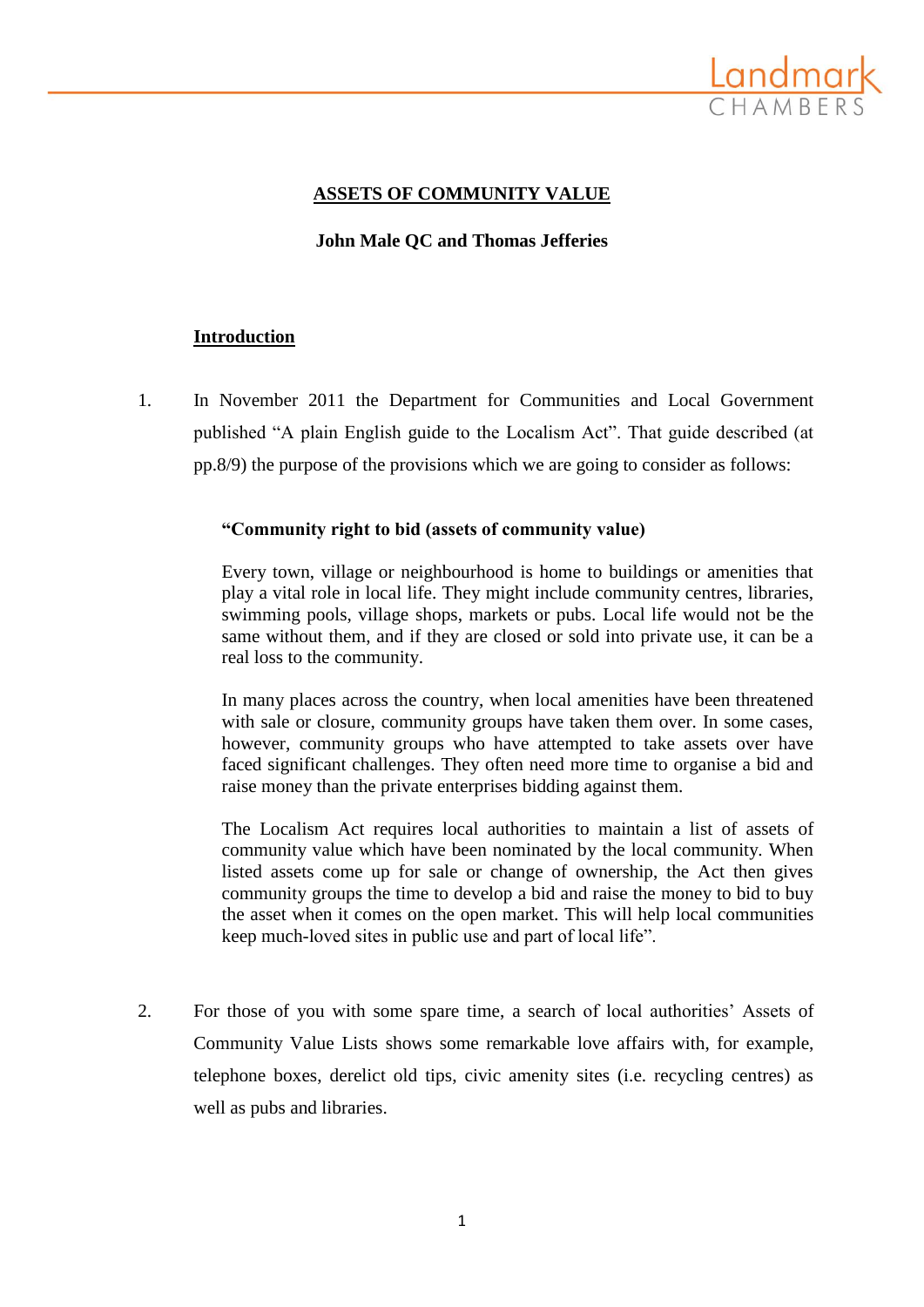

### **ASSETS OF COMMUNITY VALUE**

**John Male QC and Thomas Jefferies**

### **Introduction**

1. In November 2011 the Department for Communities and Local Government published "A plain English guide to the Localism Act". That guide described (at pp.8/9) the purpose of the provisions which we are going to consider as follows:

### **"Community right to bid (assets of community value)**

Every town, village or neighbourhood is home to buildings or amenities that play a vital role in local life. They might include community centres, libraries, swimming pools, village shops, markets or pubs. Local life would not be the same without them, and if they are closed or sold into private use, it can be a real loss to the community.

In many places across the country, when local amenities have been threatened with sale or closure, community groups have taken them over. In some cases, however, community groups who have attempted to take assets over have faced significant challenges. They often need more time to organise a bid and raise money than the private enterprises bidding against them.

The Localism Act requires local authorities to maintain a list of assets of community value which have been nominated by the local community. When listed assets come up for sale or change of ownership, the Act then gives community groups the time to develop a bid and raise the money to bid to buy the asset when it comes on the open market. This will help local communities keep much-loved sites in public use and part of local life".

2. For those of you with some spare time, a search of local authorities' Assets of Community Value Lists shows some remarkable love affairs with, for example, telephone boxes, derelict old tips, civic amenity sites (i.e. recycling centres) as well as pubs and libraries.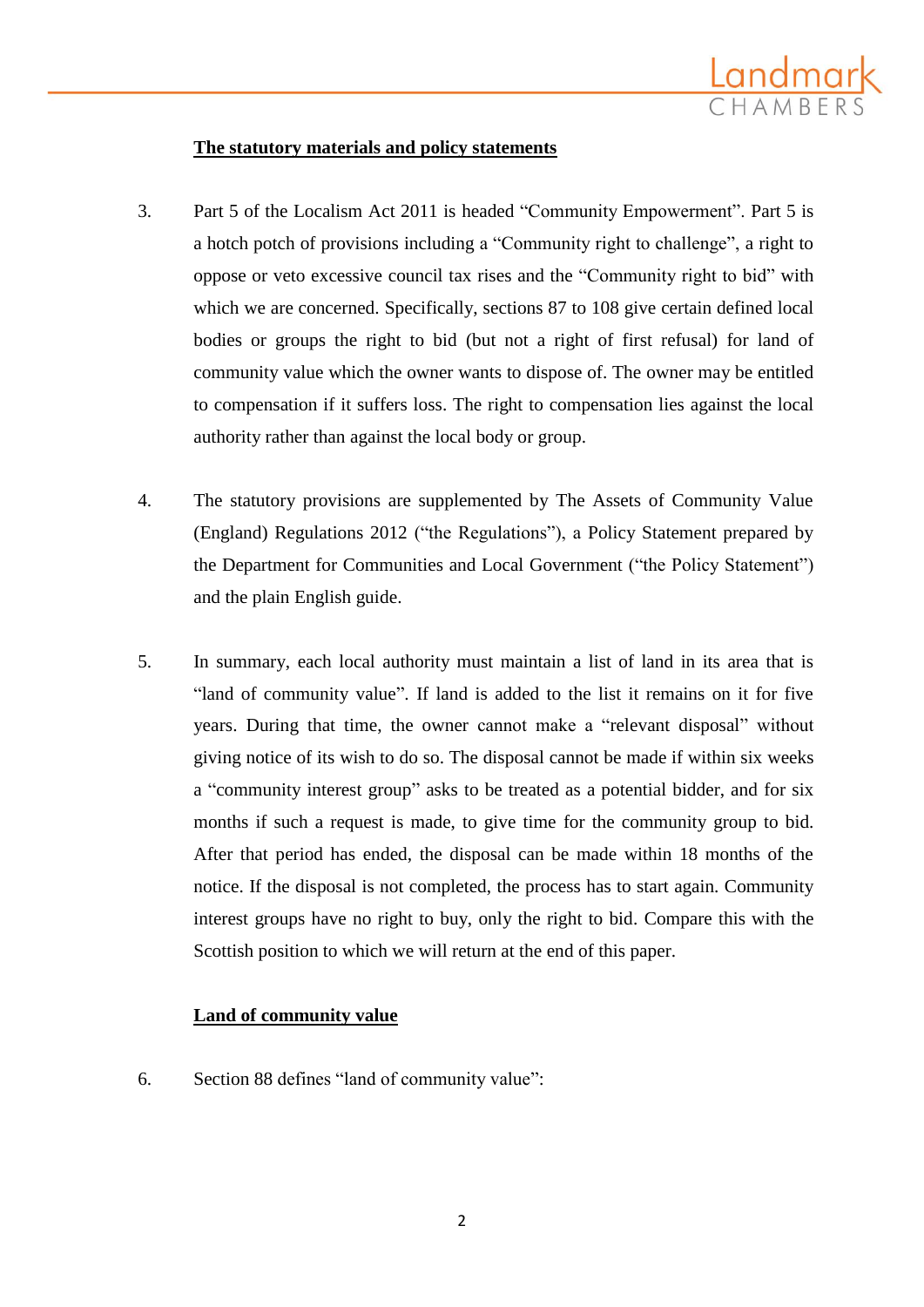

### **The statutory materials and policy statements**

- 3. Part 5 of the Localism Act 2011 is headed "Community Empowerment". Part 5 is a hotch potch of provisions including a "Community right to challenge", a right to oppose or veto excessive council tax rises and the "Community right to bid" with which we are concerned. Specifically, sections 87 to 108 give certain defined local bodies or groups the right to bid (but not a right of first refusal) for land of community value which the owner wants to dispose of. The owner may be entitled to compensation if it suffers loss. The right to compensation lies against the local authority rather than against the local body or group.
- 4. The statutory provisions are supplemented by The Assets of Community Value (England) Regulations 2012 ("the Regulations"), a Policy Statement prepared by the Department for Communities and Local Government ("the Policy Statement") and the plain English guide.
- 5. In summary, each local authority must maintain a list of land in its area that is "land of community value". If land is added to the list it remains on it for five years. During that time, the owner cannot make a "relevant disposal" without giving notice of its wish to do so. The disposal cannot be made if within six weeks a "community interest group" asks to be treated as a potential bidder, and for six months if such a request is made, to give time for the community group to bid. After that period has ended, the disposal can be made within 18 months of the notice. If the disposal is not completed, the process has to start again. Community interest groups have no right to buy, only the right to bid. Compare this with the Scottish position to which we will return at the end of this paper.

### **Land of community value**

6. Section 88 defines "land of community value":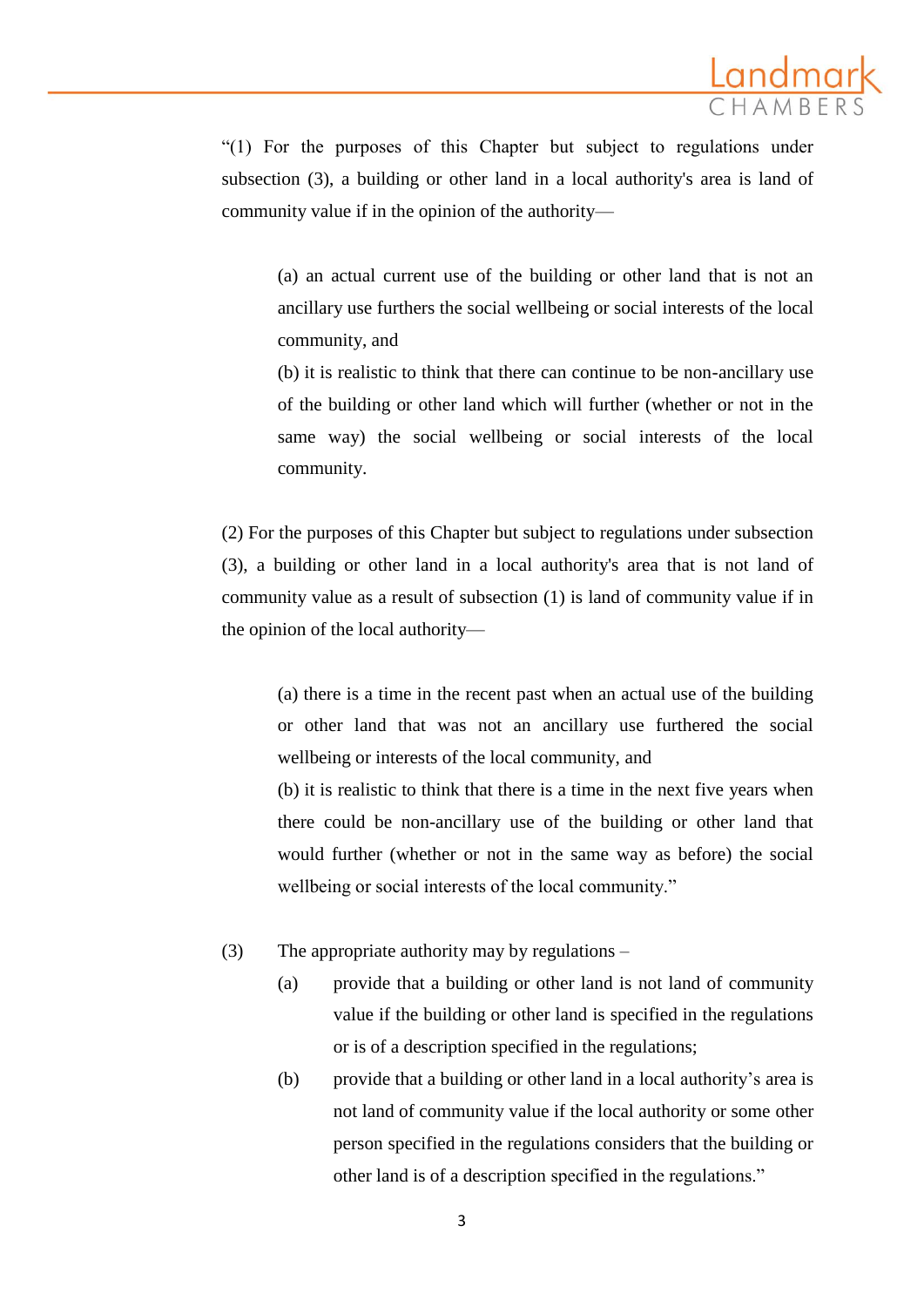

"(1) For the purposes of this Chapter but subject to regulations under subsection (3), a building or other land in a local authority's area is land of community value if in the opinion of the authority—

(a) an actual current use of the building or other land that is not an ancillary use furthers the social wellbeing or social interests of the local community, and

(b) it is realistic to think that there can continue to be non-ancillary use of the building or other land which will further (whether or not in the same way) the social wellbeing or social interests of the local community.

(2) For the purposes of this Chapter but subject to regulations under subsection (3), a building or other land in a local authority's area that is not land of community value as a result of subsection (1) is land of community value if in the opinion of the local authority—

(a) there is a time in the recent past when an actual use of the building or other land that was not an ancillary use furthered the social wellbeing or interests of the local community, and

(b) it is realistic to think that there is a time in the next five years when there could be non-ancillary use of the building or other land that would further (whether or not in the same way as before) the social wellbeing or social interests of the local community."

- (3) The appropriate authority may by regulations
	- (a) provide that a building or other land is not land of community value if the building or other land is specified in the regulations or is of a description specified in the regulations;
	- (b) provide that a building or other land in a local authority's area is not land of community value if the local authority or some other person specified in the regulations considers that the building or other land is of a description specified in the regulations."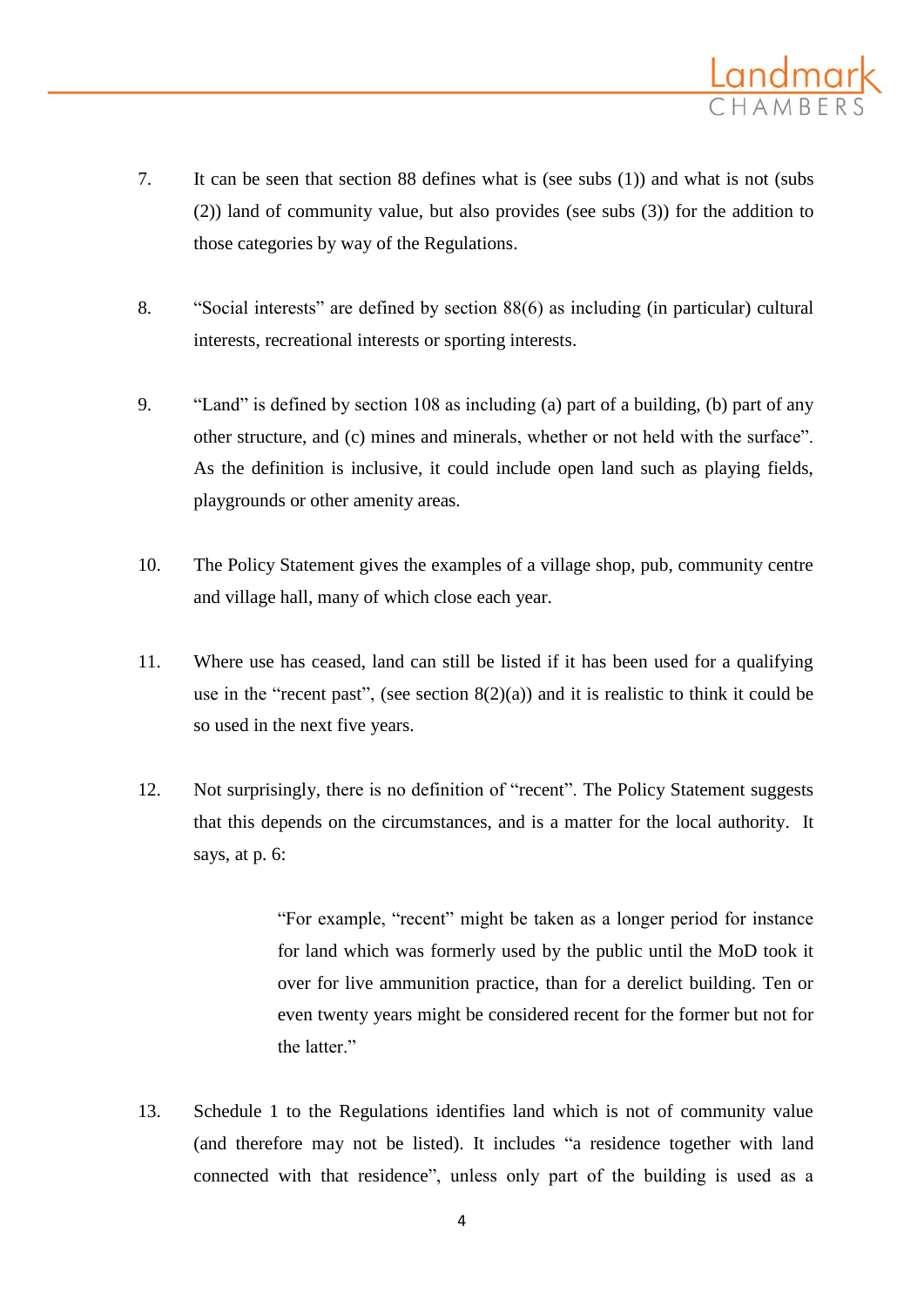

- 7. It can be seen that section 88 defines what is (see subs (1)) and what is not (subs (2)) land of community value, but also provides (see subs (3)) for the addition to those categories by way of the Regulations.
- 8. "Social interests" are defined by section 88(6) as including (in particular) cultural interests, recreational interests or sporting interests.
- 9. "Land" is defined by section 108 as including (a) part of a building, (b) part of any other structure, and (c) mines and minerals, whether or not held with the surface". As the definition is inclusive, it could include open land such as playing fields, playgrounds or other amenity areas.
- 10. The Policy Statement gives the examples of a village shop, pub, community centre and village hall, many of which close each year.
- 11. Where use has ceased, land can still be listed if it has been used for a qualifying use in the "recent past", (see section  $8(2)(a)$ ) and it is realistic to think it could be so used in the next five years.
- 12. Not surprisingly, there is no definition of "recent". The Policy Statement suggests that this depends on the circumstances, and is a matter for the local authority. It says, at p. 6:

"For example, "recent" might be taken as a longer period for instance for land which was formerly used by the public until the MoD took it over for live ammunition practice, than for a derelict building. Ten or even twenty years might be considered recent for the former but not for the latter."

13. Schedule 1 to the Regulations identifies land which is not of community value (and therefore may not be listed). It includes "a residence together with land connected with that residence", unless only part of the building is used as a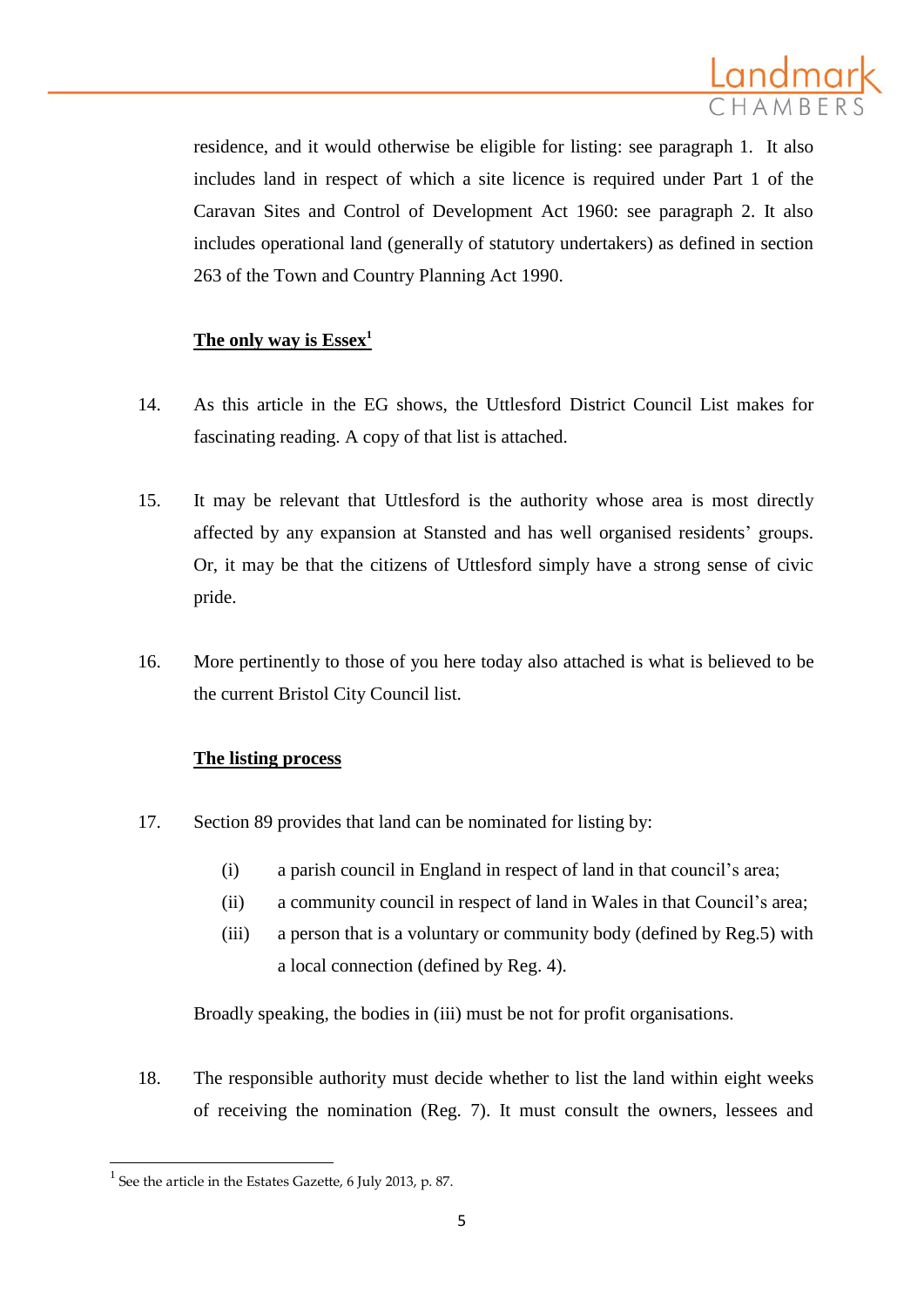

residence, and it would otherwise be eligible for listing: see paragraph 1. It also includes land in respect of which a site licence is required under Part 1 of the Caravan Sites and Control of Development Act 1960: see paragraph 2. It also includes operational land (generally of statutory undertakers) as defined in section 263 of the Town and Country Planning Act 1990.

### **The only way is Essex<sup>1</sup>**

- 14. As this article in the EG shows, the Uttlesford District Council List makes for fascinating reading. A copy of that list is attached.
- 15. It may be relevant that Uttlesford is the authority whose area is most directly affected by any expansion at Stansted and has well organised residents' groups. Or, it may be that the citizens of Uttlesford simply have a strong sense of civic pride.
- 16. More pertinently to those of you here today also attached is what is believed to be the current Bristol City Council list.

### **The listing process**

- 17. Section 89 provides that land can be nominated for listing by:
	- (i) a parish council in England in respect of land in that council's area;
	- (ii) a community council in respect of land in Wales in that Council's area;
	- (iii) a person that is a voluntary or community body (defined by Reg.5) with a local connection (defined by Reg. 4).

Broadly speaking, the bodies in (iii) must be not for profit organisations.

18. The responsible authority must decide whether to list the land within eight weeks of receiving the nomination (Reg. 7). It must consult the owners, lessees and

 $\overline{a}$ 

 $<sup>1</sup>$  See the article in the Estates Gazette, 6 July 2013, p. 87.</sup>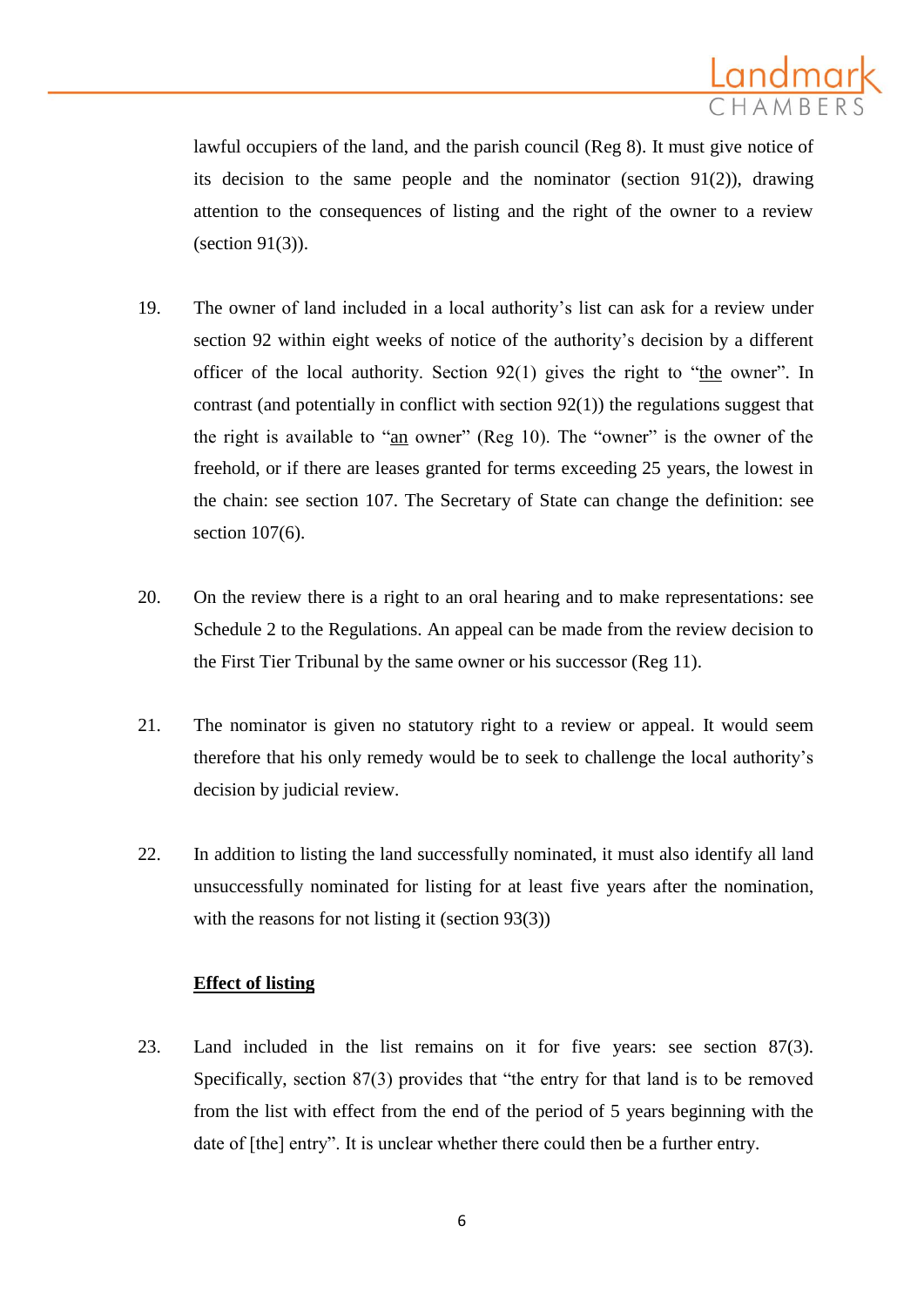

lawful occupiers of the land, and the parish council (Reg 8). It must give notice of its decision to the same people and the nominator (section 91(2)), drawing attention to the consequences of listing and the right of the owner to a review (section  $91(3)$ ).

- 19. The owner of land included in a local authority's list can ask for a review under section 92 within eight weeks of notice of the authority's decision by a different officer of the local authority. Section 92(1) gives the right to "the owner". In contrast (and potentially in conflict with section 92(1)) the regulations suggest that the right is available to "an owner" (Reg 10). The "owner" is the owner of the freehold, or if there are leases granted for terms exceeding 25 years, the lowest in the chain: see section 107. The Secretary of State can change the definition: see section 107(6).
- 20. On the review there is a right to an oral hearing and to make representations: see Schedule 2 to the Regulations. An appeal can be made from the review decision to the First Tier Tribunal by the same owner or his successor (Reg 11).
- 21. The nominator is given no statutory right to a review or appeal. It would seem therefore that his only remedy would be to seek to challenge the local authority's decision by judicial review.
- 22. In addition to listing the land successfully nominated, it must also identify all land unsuccessfully nominated for listing for at least five years after the nomination, with the reasons for not listing it (section 93(3))

### **Effect of listing**

23. Land included in the list remains on it for five years: see section 87(3). Specifically, section 87(3) provides that "the entry for that land is to be removed from the list with effect from the end of the period of 5 years beginning with the date of [the] entry". It is unclear whether there could then be a further entry.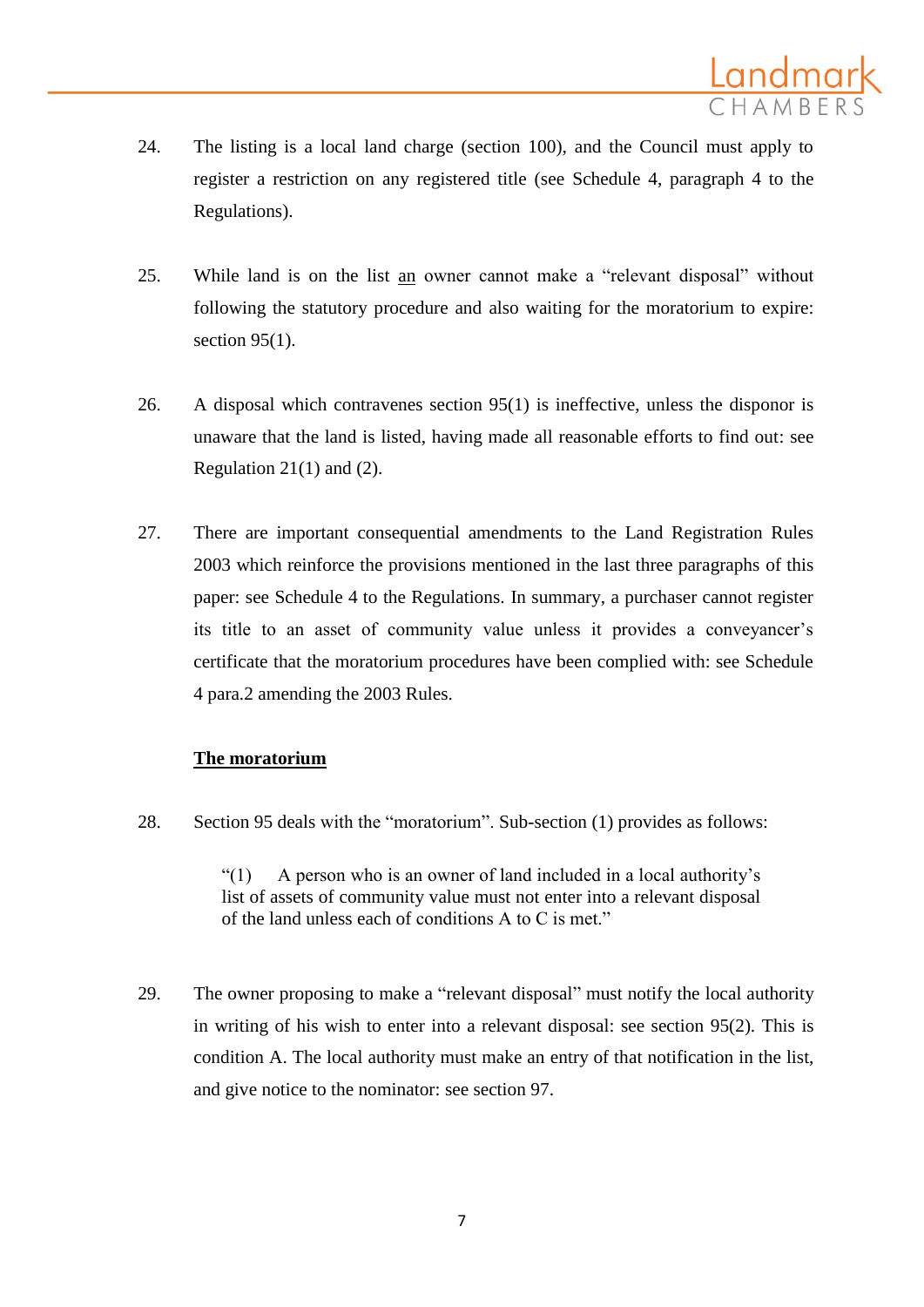

- 24. The listing is a local land charge (section 100), and the Council must apply to register a restriction on any registered title (see Schedule 4, paragraph 4 to the Regulations).
- 25. While land is on the list an owner cannot make a "relevant disposal" without following the statutory procedure and also waiting for the moratorium to expire: section  $95(1)$ .
- 26. A disposal which contravenes section 95(1) is ineffective, unless the disponor is unaware that the land is listed, having made all reasonable efforts to find out: see Regulation 21(1) and (2).
- 27. There are important consequential amendments to the Land Registration Rules 2003 which reinforce the provisions mentioned in the last three paragraphs of this paper: see Schedule 4 to the Regulations. In summary, a purchaser cannot register its title to an asset of community value unless it provides a conveyancer's certificate that the moratorium procedures have been complied with: see Schedule 4 para.2 amending the 2003 Rules.

### **The moratorium**

28. Section 95 deals with the "moratorium". Sub-section (1) provides as follows:

"(1) A person who is an owner of land included in a local authority's list of assets of community value must not enter into a relevant disposal of the land unless each of conditions A to C is met."

29. The owner proposing to make a "relevant disposal" must notify the local authority in writing of his wish to enter into a relevant disposal: see section 95(2). This is condition A. The local authority must make an entry of that notification in the list, and give notice to the nominator: see section 97.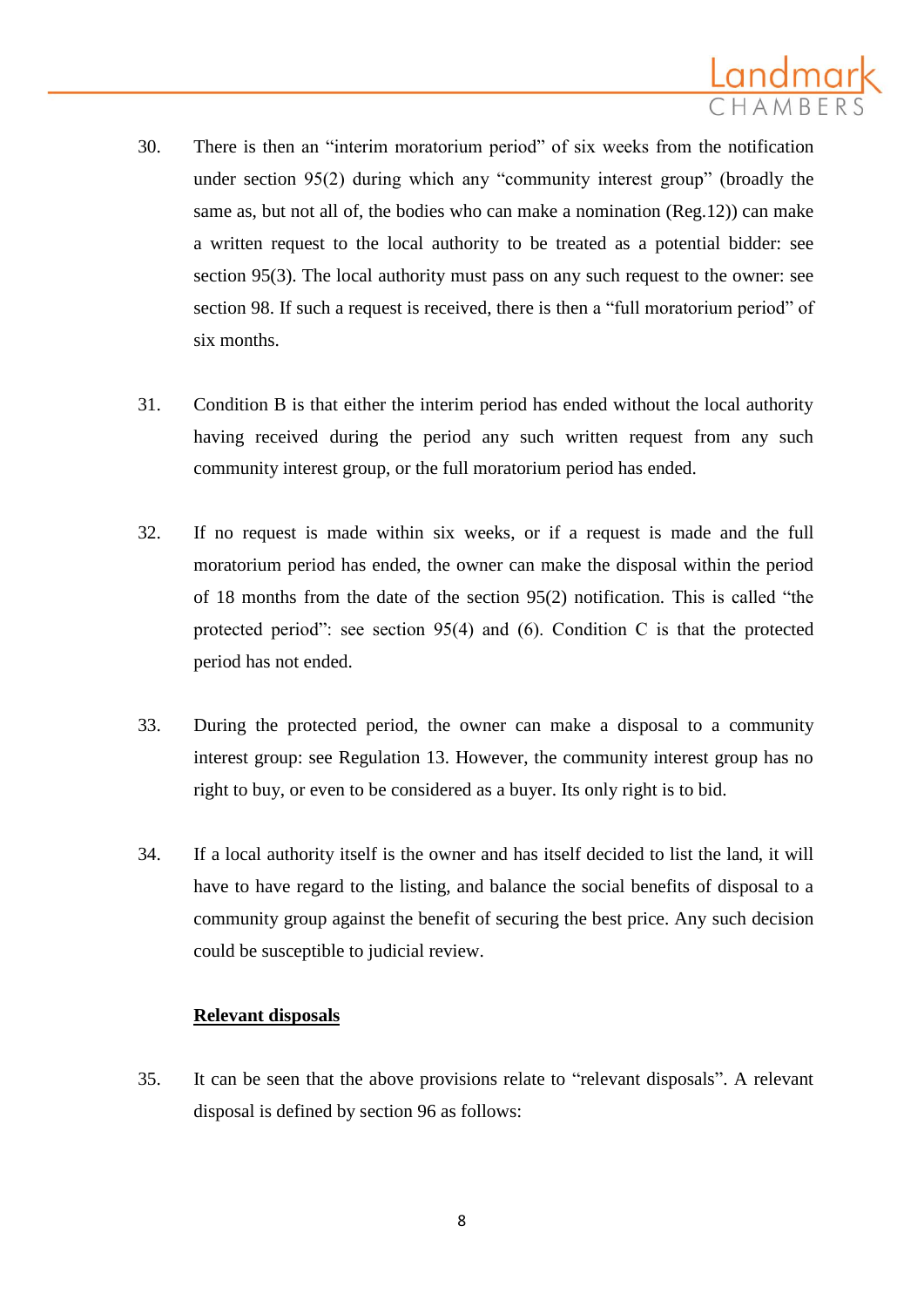

- 30. There is then an "interim moratorium period" of six weeks from the notification under section 95(2) during which any "community interest group" (broadly the same as, but not all of, the bodies who can make a nomination (Reg.12)) can make a written request to the local authority to be treated as a potential bidder: see section 95(3). The local authority must pass on any such request to the owner: see section 98. If such a request is received, there is then a "full moratorium period" of six months.
- 31. Condition B is that either the interim period has ended without the local authority having received during the period any such written request from any such community interest group, or the full moratorium period has ended.
- 32. If no request is made within six weeks, or if a request is made and the full moratorium period has ended, the owner can make the disposal within the period of 18 months from the date of the section 95(2) notification. This is called "the protected period": see section 95(4) and (6). Condition C is that the protected period has not ended.
- 33. During the protected period, the owner can make a disposal to a community interest group: see Regulation 13. However, the community interest group has no right to buy, or even to be considered as a buyer. Its only right is to bid.
- 34. If a local authority itself is the owner and has itself decided to list the land, it will have to have regard to the listing, and balance the social benefits of disposal to a community group against the benefit of securing the best price. Any such decision could be susceptible to judicial review.

### **Relevant disposals**

35. It can be seen that the above provisions relate to "relevant disposals". A relevant disposal is defined by section 96 as follows: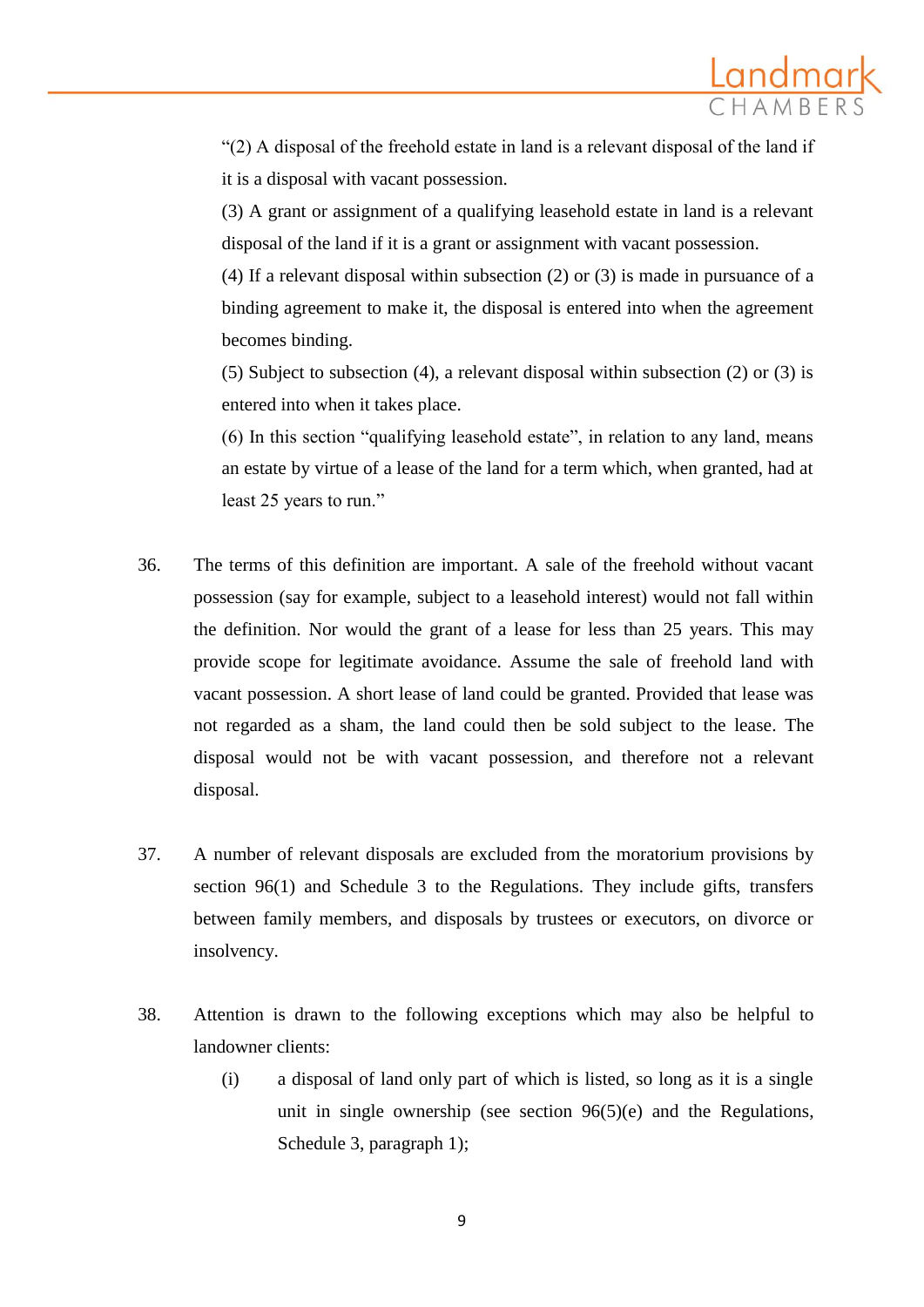

"(2) A disposal of the freehold estate in land is a relevant disposal of the land if it is a disposal with vacant possession.

(3) A grant or assignment of a qualifying leasehold estate in land is a relevant disposal of the land if it is a grant or assignment with vacant possession.

(4) If a relevant disposal within subsection (2) or (3) is made in pursuance of a binding agreement to make it, the disposal is entered into when the agreement becomes binding.

(5) Subject to subsection (4), a relevant disposal within subsection (2) or (3) is entered into when it takes place.

(6) In this section "qualifying leasehold estate", in relation to any land, means an estate by virtue of a lease of the land for a term which, when granted, had at least 25 years to run."

- 36. The terms of this definition are important. A sale of the freehold without vacant possession (say for example, subject to a leasehold interest) would not fall within the definition. Nor would the grant of a lease for less than 25 years. This may provide scope for legitimate avoidance. Assume the sale of freehold land with vacant possession. A short lease of land could be granted. Provided that lease was not regarded as a sham, the land could then be sold subject to the lease. The disposal would not be with vacant possession, and therefore not a relevant disposal.
- 37. A number of relevant disposals are excluded from the moratorium provisions by section 96(1) and Schedule 3 to the Regulations. They include gifts, transfers between family members, and disposals by trustees or executors, on divorce or insolvency.
- 38. Attention is drawn to the following exceptions which may also be helpful to landowner clients:
	- (i) a disposal of land only part of which is listed, so long as it is a single unit in single ownership (see section  $96(5)(e)$  and the Regulations, Schedule 3, paragraph 1);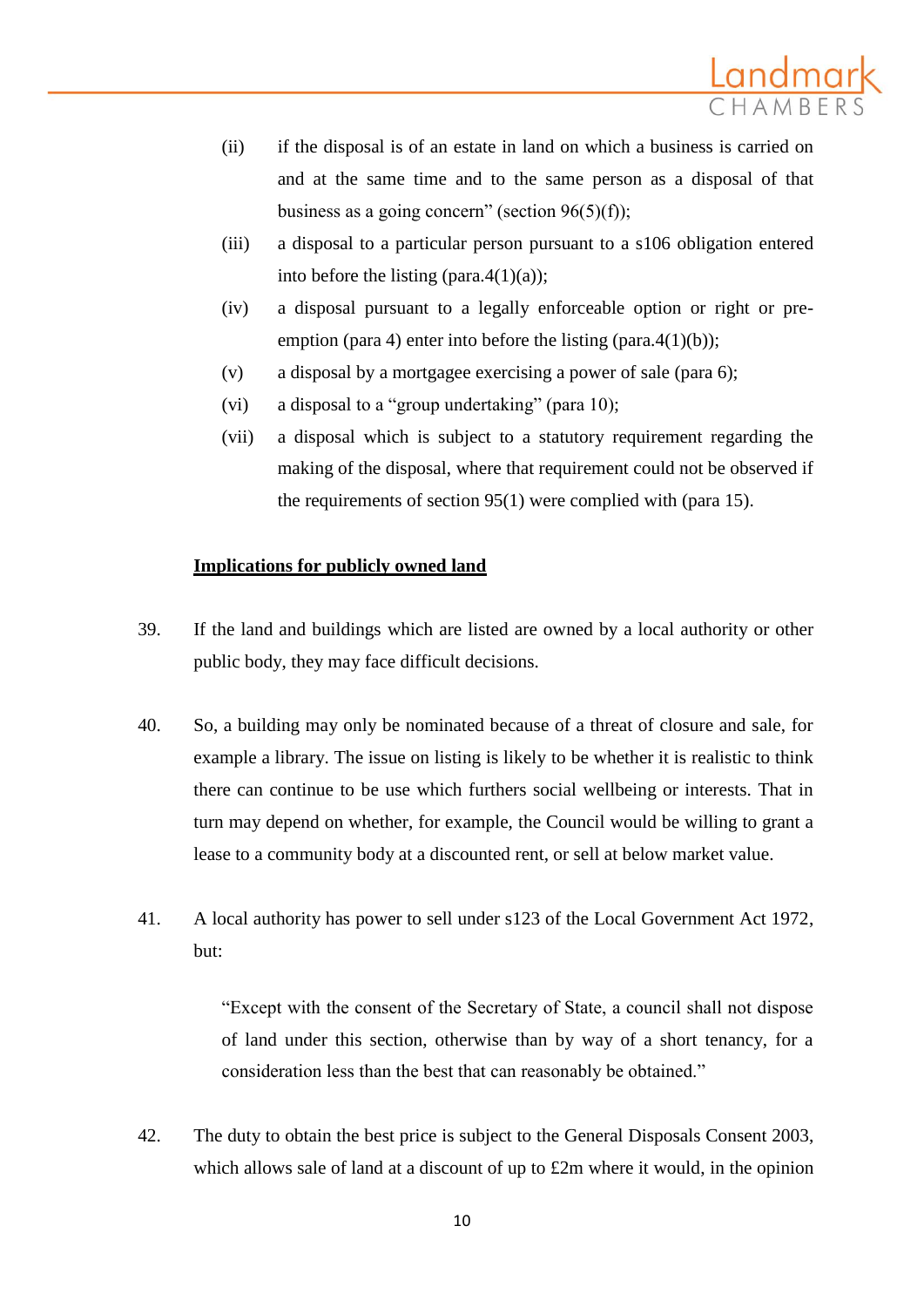

- (ii) if the disposal is of an estate in land on which a business is carried on and at the same time and to the same person as a disposal of that business as a going concern" (section  $96(5)(f)$ );
- (iii) a disposal to a particular person pursuant to a s106 obligation entered into before the listing (para.4 $(1)(a)$ );
- (iv) a disposal pursuant to a legally enforceable option or right or preemption (para 4) enter into before the listing (para.4(1)(b));
- (v) a disposal by a mortgagee exercising a power of sale (para 6);
- (vi) a disposal to a "group undertaking" (para 10);
- (vii) a disposal which is subject to a statutory requirement regarding the making of the disposal, where that requirement could not be observed if the requirements of section 95(1) were complied with (para 15).

### **Implications for publicly owned land**

- 39. If the land and buildings which are listed are owned by a local authority or other public body, they may face difficult decisions.
- 40. So, a building may only be nominated because of a threat of closure and sale, for example a library. The issue on listing is likely to be whether it is realistic to think there can continue to be use which furthers social wellbeing or interests. That in turn may depend on whether, for example, the Council would be willing to grant a lease to a community body at a discounted rent, or sell at below market value.
- 41. A local authority has power to sell under s123 of the Local Government Act 1972, but:

"Except with the consent of the Secretary of State, a council shall not dispose of land under this section, otherwise than by way of a short tenancy, for a consideration less than the best that can reasonably be obtained."

42. The duty to obtain the best price is subject to the General Disposals Consent 2003, which allows sale of land at a discount of up to  $\pounds 2m$  where it would, in the opinion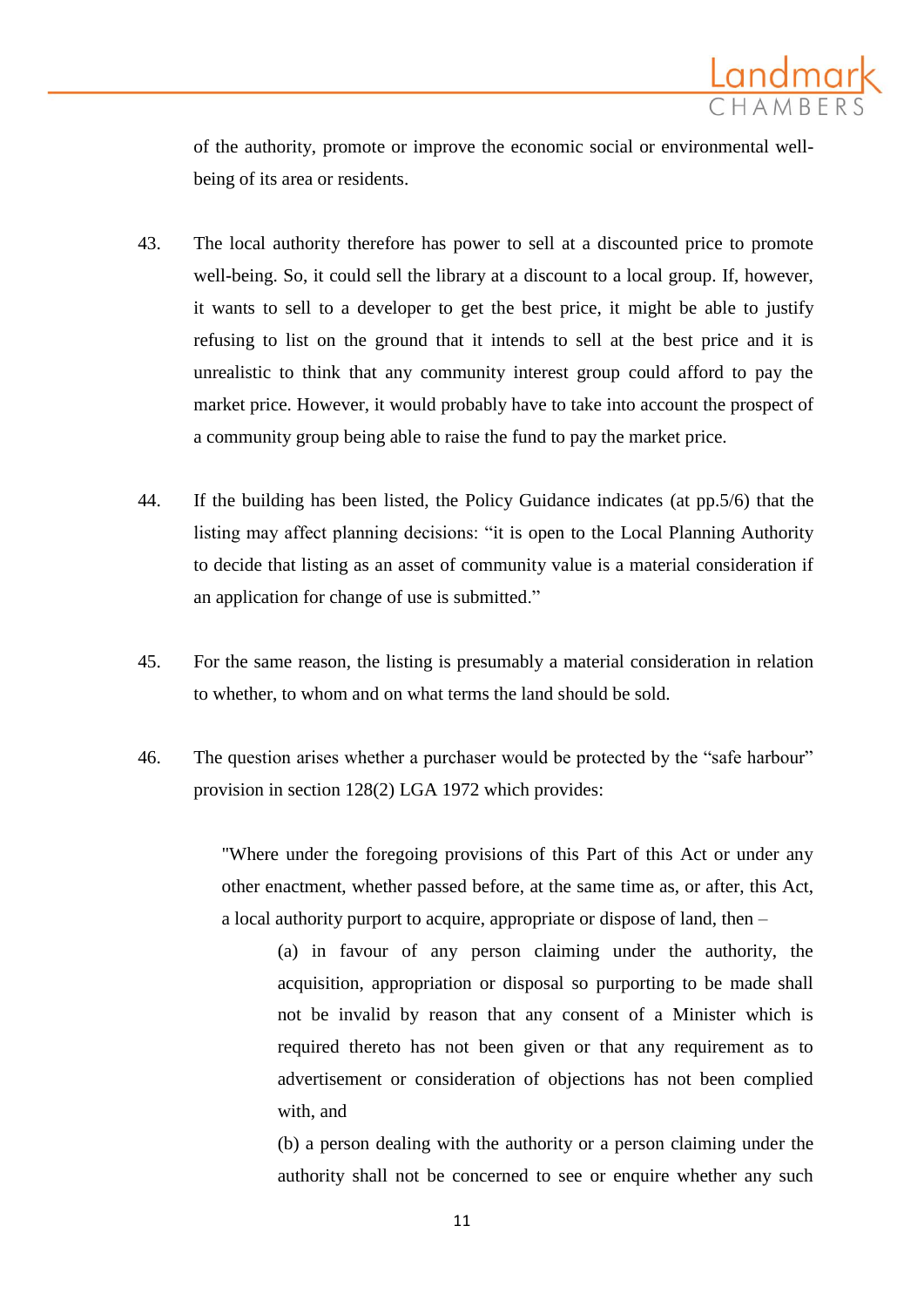

of the authority, promote or improve the economic social or environmental wellbeing of its area or residents.

- 43. The local authority therefore has power to sell at a discounted price to promote well-being. So, it could sell the library at a discount to a local group. If, however, it wants to sell to a developer to get the best price, it might be able to justify refusing to list on the ground that it intends to sell at the best price and it is unrealistic to think that any community interest group could afford to pay the market price. However, it would probably have to take into account the prospect of a community group being able to raise the fund to pay the market price.
- 44. If the building has been listed, the Policy Guidance indicates (at pp.5/6) that the listing may affect planning decisions: "it is open to the Local Planning Authority to decide that listing as an asset of community value is a material consideration if an application for change of use is submitted."
- 45. For the same reason, the listing is presumably a material consideration in relation to whether, to whom and on what terms the land should be sold.
- 46. The question arises whether a purchaser would be protected by the "safe harbour" provision in section 128(2) LGA 1972 which provides:

"Where under the foregoing provisions of this Part of this Act or under any other enactment, whether passed before, at the same time as, or after, this Act, a local authority purport to acquire, appropriate or dispose of land, then –

(a) in favour of any person claiming under the authority, the acquisition, appropriation or disposal so purporting to be made shall not be invalid by reason that any consent of a Minister which is required thereto has not been given or that any requirement as to advertisement or consideration of objections has not been complied with, and

(b) a person dealing with the authority or a person claiming under the authority shall not be concerned to see or enquire whether any such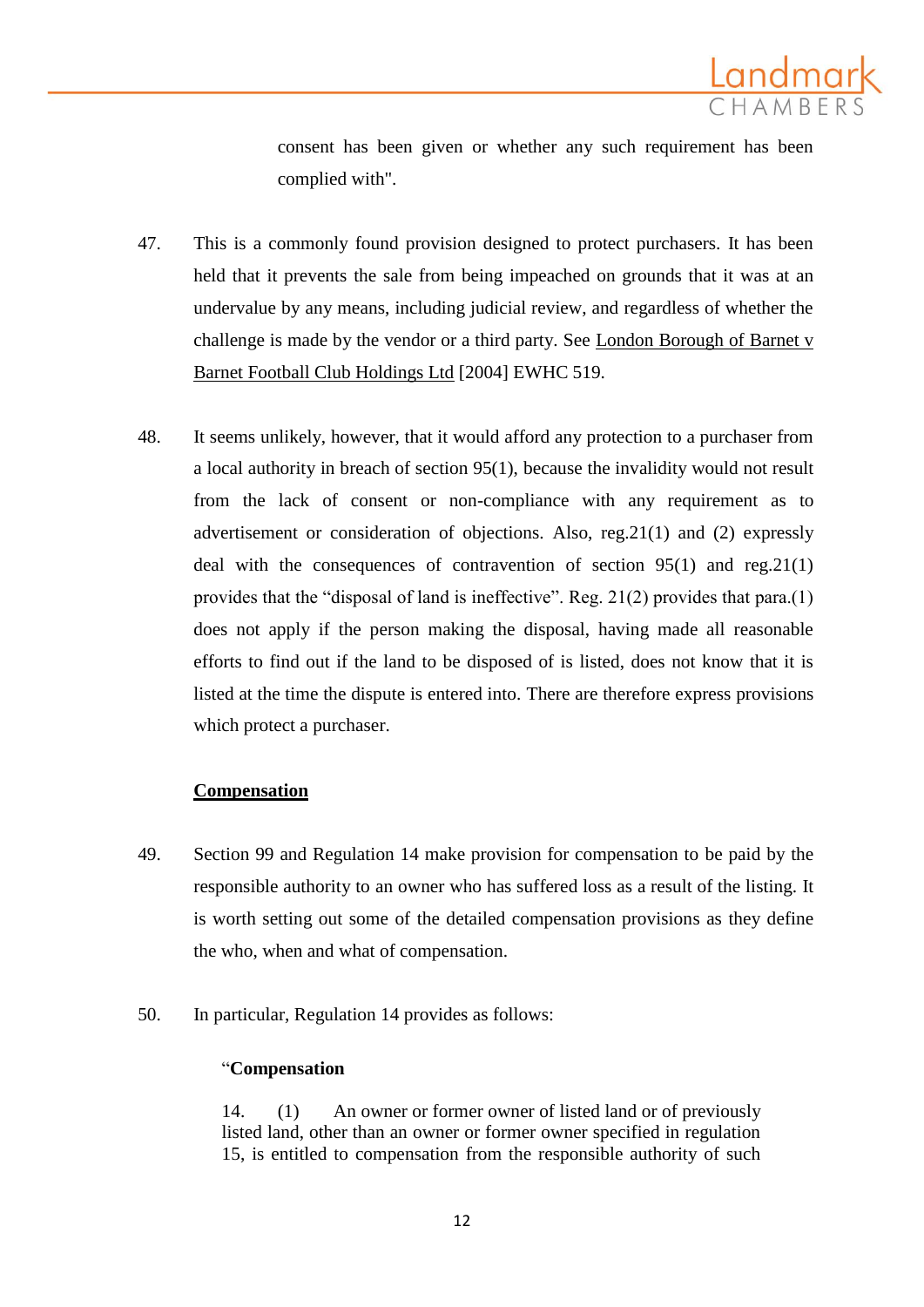

consent has been given or whether any such requirement has been complied with".

- 47. This is a commonly found provision designed to protect purchasers. It has been held that it prevents the sale from being impeached on grounds that it was at an undervalue by any means, including judicial review, and regardless of whether the challenge is made by the vendor or a third party. See London Borough of Barnet v Barnet Football Club Holdings Ltd [2004] EWHC 519.
- 48. It seems unlikely, however, that it would afford any protection to a purchaser from a local authority in breach of section 95(1), because the invalidity would not result from the lack of consent or non-compliance with any requirement as to advertisement or consideration of objections. Also, reg.21(1) and (2) expressly deal with the consequences of contravention of section 95(1) and reg.21(1) provides that the "disposal of land is ineffective". Reg. 21(2) provides that para.(1) does not apply if the person making the disposal, having made all reasonable efforts to find out if the land to be disposed of is listed, does not know that it is listed at the time the dispute is entered into. There are therefore express provisions which protect a purchaser.

### **Compensation**

- 49. Section 99 and Regulation 14 make provision for compensation to be paid by the responsible authority to an owner who has suffered loss as a result of the listing. It is worth setting out some of the detailed compensation provisions as they define the who, when and what of compensation.
- 50. In particular, Regulation 14 provides as follows:

### "**Compensation**

14. (1) An owner or former owner of listed land or of previously listed land, other than an owner or former owner specified in regulation 15, is entitled to compensation from the responsible authority of such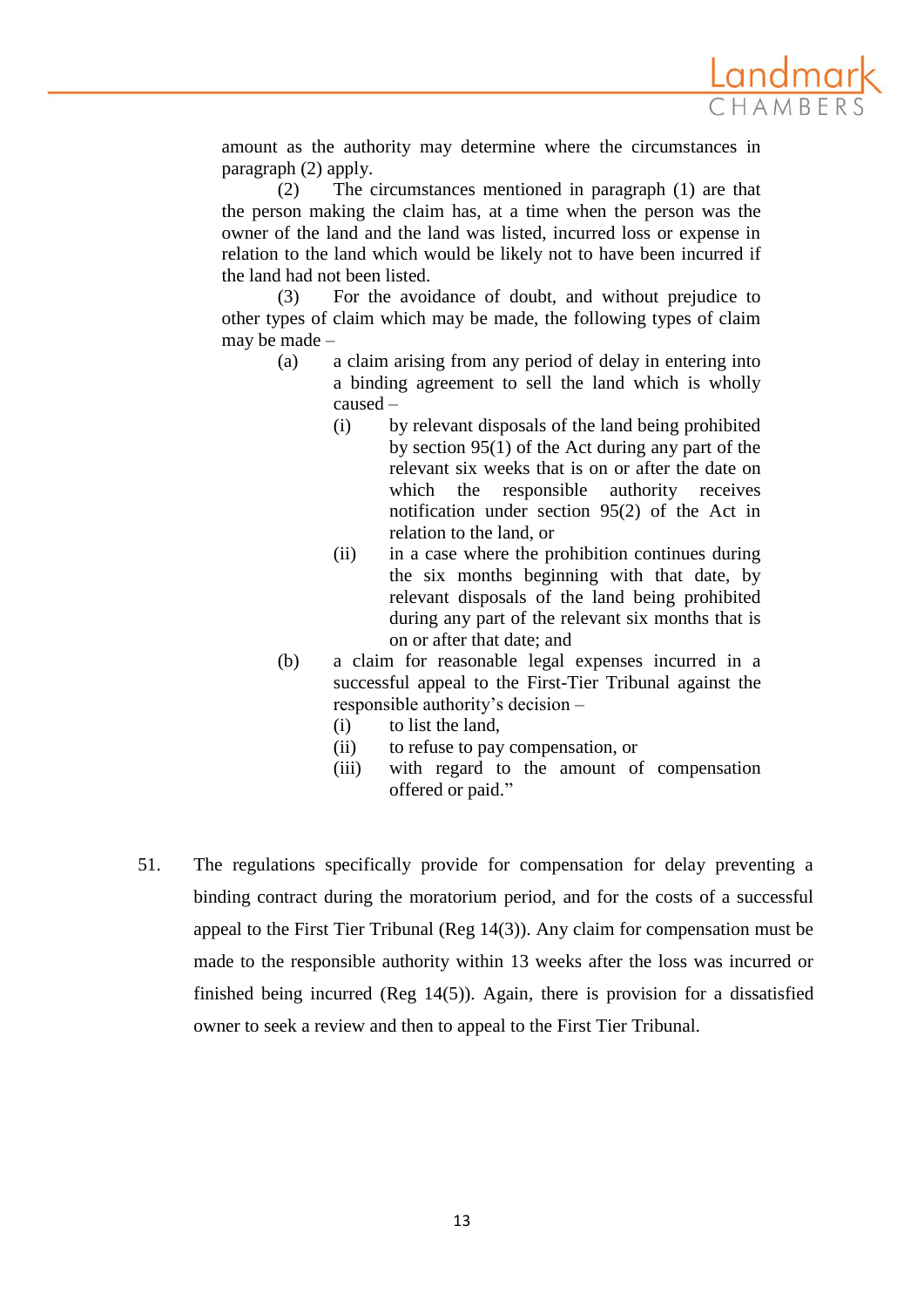

amount as the authority may determine where the circumstances in paragraph (2) apply.

(2) The circumstances mentioned in paragraph (1) are that the person making the claim has, at a time when the person was the owner of the land and the land was listed, incurred loss or expense in relation to the land which would be likely not to have been incurred if the land had not been listed.

(3) For the avoidance of doubt, and without prejudice to other types of claim which may be made, the following types of claim may be made –

- (a) a claim arising from any period of delay in entering into a binding agreement to sell the land which is wholly caused –
	- (i) by relevant disposals of the land being prohibited by section 95(1) of the Act during any part of the relevant six weeks that is on or after the date on which the responsible authority receives notification under section 95(2) of the Act in relation to the land, or
	- (ii) in a case where the prohibition continues during the six months beginning with that date, by relevant disposals of the land being prohibited during any part of the relevant six months that is on or after that date; and
- (b) a claim for reasonable legal expenses incurred in a successful appeal to the First-Tier Tribunal against the responsible authority's decision –
	- (i) to list the land,
	- (ii) to refuse to pay compensation, or
	- (iii) with regard to the amount of compensation offered or paid."
- 51. The regulations specifically provide for compensation for delay preventing a binding contract during the moratorium period, and for the costs of a successful appeal to the First Tier Tribunal (Reg 14(3)). Any claim for compensation must be made to the responsible authority within 13 weeks after the loss was incurred or finished being incurred (Reg 14(5)). Again, there is provision for a dissatisfied owner to seek a review and then to appeal to the First Tier Tribunal.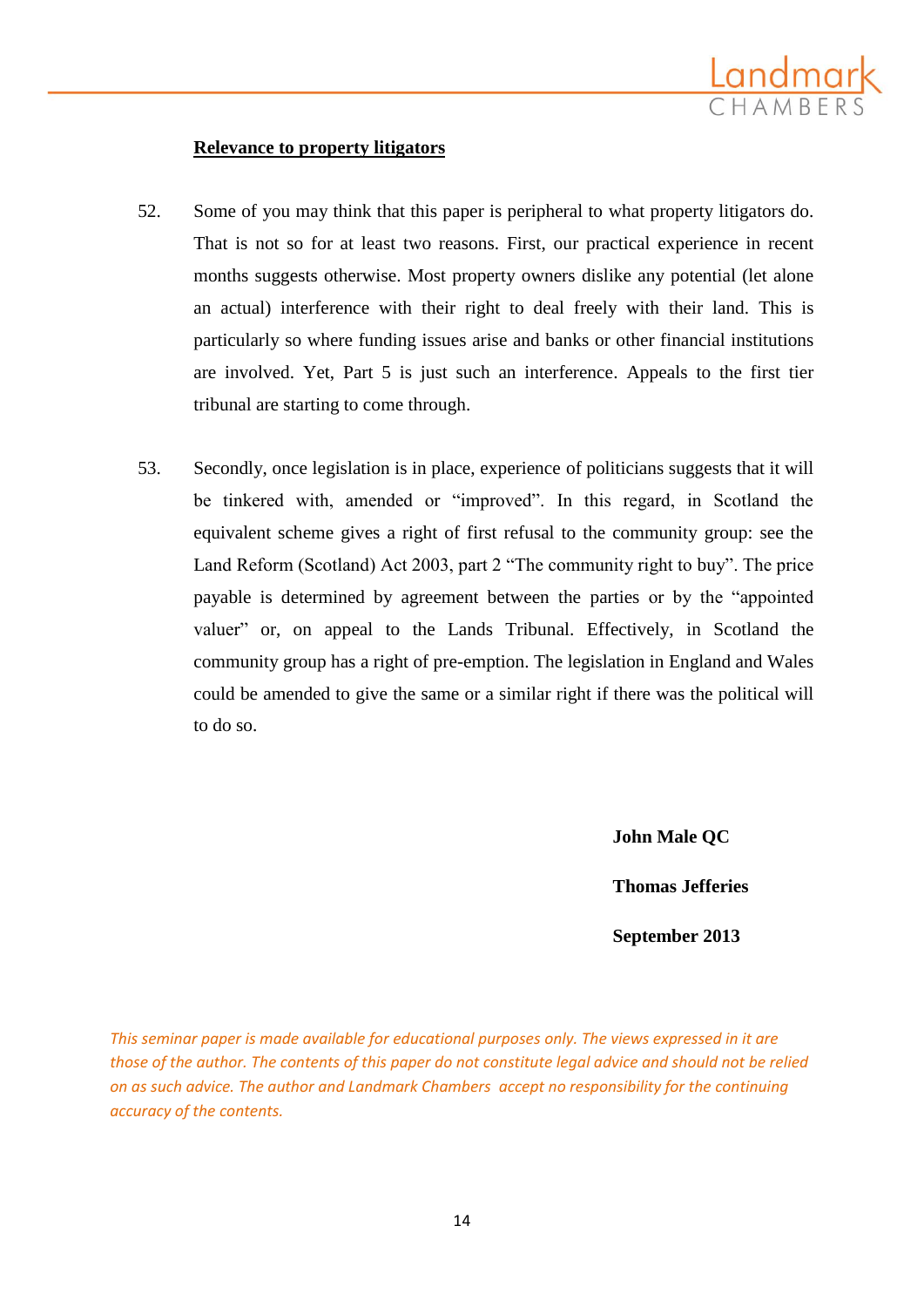

### **Relevance to property litigators**

- 52. Some of you may think that this paper is peripheral to what property litigators do. That is not so for at least two reasons. First, our practical experience in recent months suggests otherwise. Most property owners dislike any potential (let alone an actual) interference with their right to deal freely with their land. This is particularly so where funding issues arise and banks or other financial institutions are involved. Yet, Part 5 is just such an interference. Appeals to the first tier tribunal are starting to come through.
- 53. Secondly, once legislation is in place, experience of politicians suggests that it will be tinkered with, amended or "improved". In this regard, in Scotland the equivalent scheme gives a right of first refusal to the community group: see the Land Reform (Scotland) Act 2003, part 2 "The community right to buy". The price payable is determined by agreement between the parties or by the "appointed valuer" or, on appeal to the Lands Tribunal. Effectively, in Scotland the community group has a right of pre-emption. The legislation in England and Wales could be amended to give the same or a similar right if there was the political will to do so.

**John Male QC**

**Thomas Jefferies**

**September 2013**

*This seminar paper is made available for educational purposes only. The views expressed in it are those of the author. The contents of this paper do not constitute legal advice and should not be relied on as such advice. The author and Landmark Chambers accept no responsibility for the continuing accuracy of the contents.*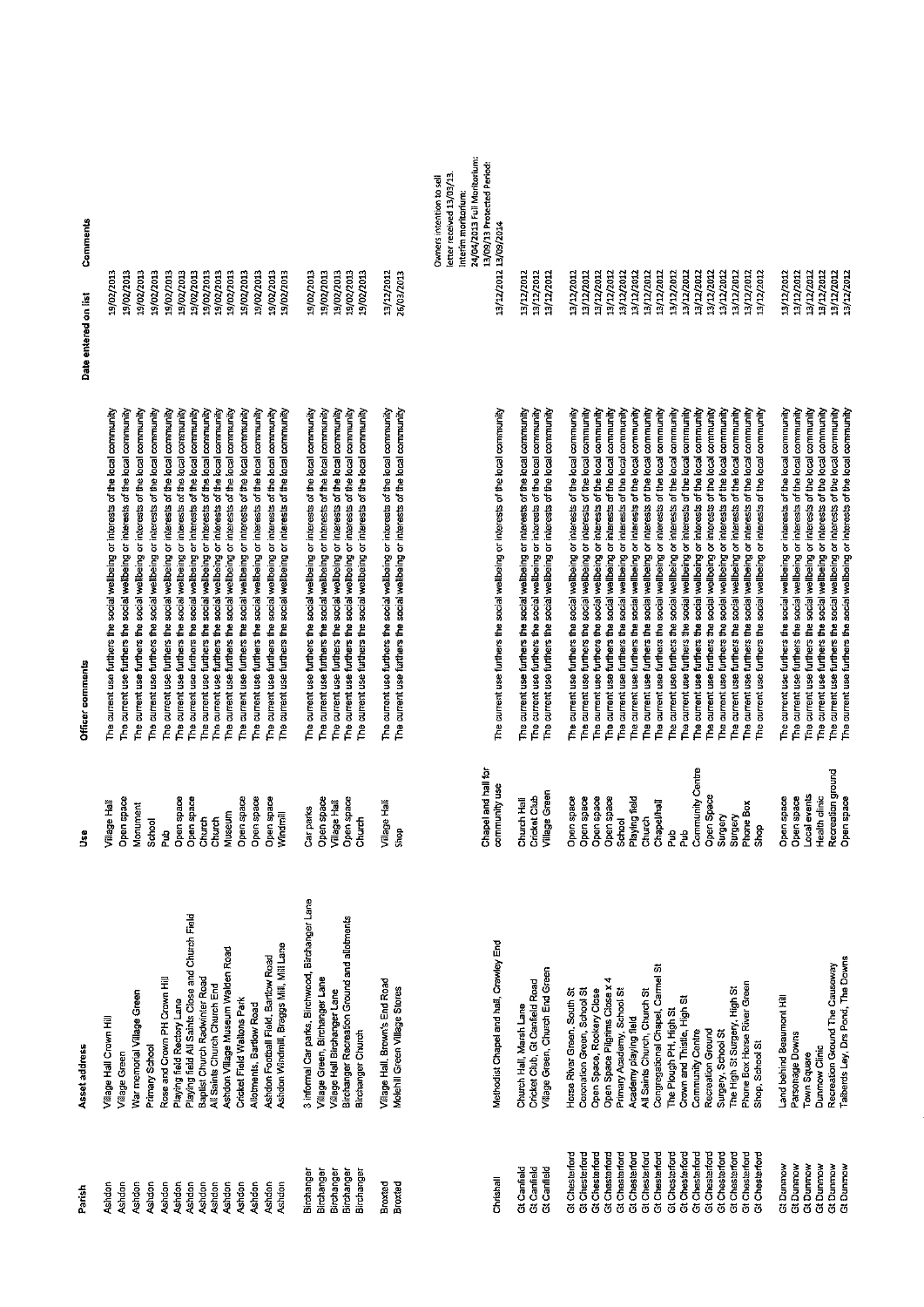| Parish                                         | Asset address                                                     | š                                    | Officer comments                                                                                                                                                       | Comments<br>Date entered on list                      |
|------------------------------------------------|-------------------------------------------------------------------|--------------------------------------|------------------------------------------------------------------------------------------------------------------------------------------------------------------------|-------------------------------------------------------|
| Ashdon                                         | Village Hall Crown Hill                                           | Village Hall                         | The current use furthers the social wellbeing or interests of the local community                                                                                      | 19/02/2013                                            |
| Ashdan                                         | Village Greer                                                     | Open space                           | The current use furthers the social wellbeing or interests of the local community                                                                                      | 19/02/2013                                            |
| Ashdon                                         | War memorial Village Green                                        | Monument                             | The current use furthers the social wellbeing or interests of the local community                                                                                      | 19/02/2013                                            |
| Ashdon                                         | Primary School                                                    | School                               | The current use furthers the social wellbeing or interests of the local community                                                                                      | 19/02/2013                                            |
| Ashdon                                         | Rose and Crown PH Crown Hill                                      | Pub                                  | The current use furthers the social wellbeing or interests of the local community                                                                                      | 19/02/2013                                            |
| Ashdon                                         | Playing field Rectory Lane                                        | Open space                           | The current use furthers the social wellbeing or interests of the local community                                                                                      | 19/02/2013                                            |
| Ashdon                                         | Playing field All Saints Close and Church Field                   | Open space                           | The current use furthers the social wellbeing or interests of the local community                                                                                      | 19/02/2013                                            |
| Ashdon                                         | Baptist Church Radwinter Road                                     | Church<br>Church                     | The current use furthers the social wellbeing or interests of the local community                                                                                      | 19/02/2013                                            |
| Ashdon<br>Ashdon                               | Ashdon Village Museum Walden Road<br>All Saints Church Church End |                                      | The current use furthers the social wellbeing or interests of the local community                                                                                      | 19/02/2013                                            |
| <b>Ashdon</b>                                  | Cricket Field Wallons Park                                        | Museum                               | The current use furthers the social wellbeing or interests of the local community                                                                                      | 19/02/2013                                            |
| Ashdon                                         | Allotments, Bartlow Road                                          | Open space                           | The current use furthers the social wellbeing or interests of the local community                                                                                      | 19/02/2013                                            |
| Ashdon                                         | Ashdon Football Field, Bartlow Road                               | Open space                           | The current use furthers the social wellbeing or interests of the local community                                                                                      | 19/02/2013                                            |
| Ashdon                                         | Ashdon Windmill, Braggs Mill, Mill Lane                           | Open space<br>Windmill               | The current use furthers the social wellbeing or interests of the local community<br>The current use furthers the social wellbeing or interests of the local community | 19/02/2013<br>19/02/2013                              |
|                                                | 3 informal Car parks, Birchwood, Birchanger Lane                  |                                      |                                                                                                                                                                        |                                                       |
| Birchanger<br>Birchanger                       | Village Green, Birchanger Lane                                    | Open space<br>Car parks              | The current use furthers the social wellbeing or interests of the local community                                                                                      | Etoz/2013                                             |
| Birchanger                                     | Village Hall Birchanger Lane                                      |                                      | The current use furthers the social wellbeing or interests of the local community                                                                                      | 13/02/2013                                            |
| Birchanger                                     | Birchanger Recreation Ground and allotments                       | Open space<br>Village Hall           | The current use furthers the social wellbeing or interests of the local community                                                                                      | 19/02/2013                                            |
| Birchanger                                     | <b>Birchanger Church</b>                                          | <b>Church</b>                        | The current use furthers the social wellbeing or interests of the local community<br>The current use furthers the social wellbeing or interests of the local community | 19/02/2013<br>19/02/2013                              |
|                                                |                                                                   |                                      |                                                                                                                                                                        |                                                       |
| Eroxted                                        | Village Hall, Brown's End Road                                    | Village Hall                         | The current use furthers the social wellbeing or interests of the local community                                                                                      | 13/12/2012                                            |
| <b>Eroxted</b>                                 | Molehill Green Village Stores                                     | Shop                                 | The current use furthers the social wellbeing or interests of the local community                                                                                      | 26/03/2013                                            |
|                                                |                                                                   |                                      |                                                                                                                                                                        |                                                       |
|                                                |                                                                   |                                      |                                                                                                                                                                        | letter received 13/03/13.<br>Owners intention to sell |
|                                                |                                                                   |                                      |                                                                                                                                                                        | 24/04/2013 Full Moritorium:<br>Interim moritorium:    |
| Chrishall                                      | Methodist Chapel and hall, Crawley End                            | Chapel and hall for<br>community use | The current use furthers the social wellbeing or interests of the local community                                                                                      | 13/09/13 Protected Period:<br>13/12/2012 13/09/2014   |
| Gt Canfield                                    | Church Hall, Marsh Lane                                           | Church Hall                          | The current use furthers the social wellbeing or interests of the local community                                                                                      | 13/12/2012                                            |
| Ct Canileld                                    | Cricket Club, Gt Canfeld Road                                     | Cricket Club                         | The current use furthers the social wellbeing or interests of the local community                                                                                      | 13/12/2012                                            |
| Ct Canfield                                    | Village Green, Church End Green                                   | Village Green                        | The current use furthers the social wellbeing or interests of the local community                                                                                      | 13/12/2012                                            |
| <b>Citesterford</b>                            | Horse River Green, South St                                       | Open space                           | The current use furthers the social wellbeing or interests of the local community                                                                                      | 13/12/2012                                            |
| Gt Chesterford                                 | Coronation Green, School St                                       | Open space                           | The current use furthers the social wellbeing or interests of the local community                                                                                      | 13/12/2012                                            |
| Gt Chesterford<br>Gt Chesterford               | Open Space, Rookery Close                                         | Open space                           | The current use furthers the social wellbeing or interests of the local community                                                                                      | 13/12/2012                                            |
| Gt Chesterford                                 | Open Space Pilgrims Close x 4<br>Primary Academy, School St       | Open space<br><b>School</b>          | The current use furthers the social wellbeing or interests of the local community<br>The current use furthers the social wellbeing or interests of the local community | 13/12/2012<br>13/12/2012                              |
| Gt Chesterford                                 | Academy playing field                                             | Playing field                        | The current use furthers the social wellbeing or interests of the local community                                                                                      | 13/12/2012                                            |
| Gt Chesterford                                 | All Saints Church, Church St                                      | Church                               | The current use furthers the social wellbeing or interests of the local community                                                                                      | 13/12/2012                                            |
| <b>Ct Chesterford</b>                          | Congregational Chapel, Carmel St                                  | Chapelhal                            | The current use furthers the social wellbeing or interests of the local community                                                                                      | 13/12/2012                                            |
| Gt Chesterford                                 | The Plough PH, High St                                            | $\frac{4}{6}$                        | The current use furthers the social wellbeing or interests of the local community                                                                                      | 13/12/2012                                            |
| <b>Gt Chesterford</b><br><b>Gt Chesterford</b> | Crown and Thistle, High St<br><b>Community Centre</b>             | <b>Community Centre</b><br>a<br>La   | The current use furthers the social wellbeing or interests of the local community<br>The current use furthers the social wellbeing or interests of the local community | 13/12/2012<br>13/12/2012                              |
| Gt Chesterford                                 | Recreation Ground                                                 | Open Space                           | The current use furthers the social wellbeing or interests of the local community                                                                                      | 13/12/2012                                            |
| Gt Chesterford                                 | Surgery, School St                                                | Surgery                              | The current use furthers the social wellbeing or interests of the local community                                                                                      | 13/12/2012                                            |
| Gt Chesterford                                 | Phone Box Horse River Green<br>The High St Surgery, High St       | Surgery                              | The current use furthers the social wellbeing or interests of the local community                                                                                      | 13/12/2012                                            |
| Gt Chesterford<br>Ct Chesterford               | Shop, School St                                                   | Phone Box<br>Shop                    | The current use furthers the social wellbeing or interests of the local community<br>The current use furthers the social wellbeing or interests of the local community | 13/12/2012<br>13/12/2012                              |
|                                                |                                                                   |                                      |                                                                                                                                                                        |                                                       |
| Gt Dunmow<br><b>Ct Dunmow</b>                  | Land behind Beaumont Hill                                         | Open space                           | The current use furthers the social wellbeing or interests of the local community                                                                                      | 13/12/2012                                            |
| Gl Dunmow                                      | Parsonage Downs<br>Fown Square                                    | Local events<br>Open space           | The current use furthers the social wellbeing or interests of the local community<br>The current use furthers the social wellbeing or interests of the local community | 13/12/2012<br>13/12/2012                              |
| Gt Dunmow                                      | Dunmow Clinic                                                     | Health clinic                        | The current use furthers the social wellbeing or interests of the local community                                                                                      | 13/12/2012                                            |
| Gt Dunmow                                      | Recreation Ground The Causeway                                    | Recreation ground                    | The current use furthers the social wellbeing or interests of the local community                                                                                      | 13/12/2012                                            |
| Gt Dunmow                                      | Taiberds Ley, Drs Pond, The Downs                                 | Open space                           | The current use furthers the social wellbeing or interests of the local community                                                                                      | 13/12/2012                                            |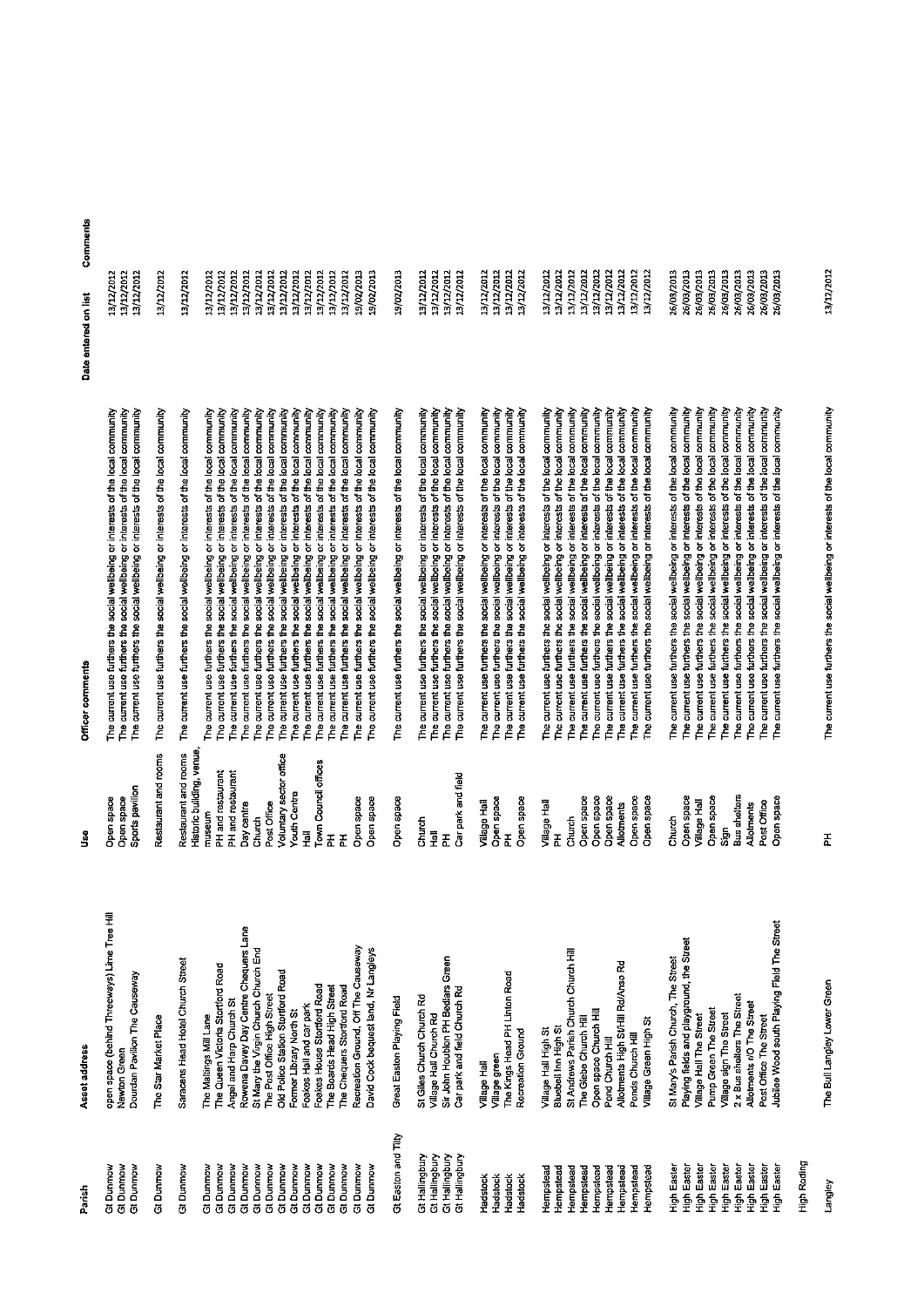| Parish                              | Asset address                                                                                 | ٷ                                                 | Officer comments                                                                                                                                                                                                                                            | Date entered on list                   | Comments |
|-------------------------------------|-----------------------------------------------------------------------------------------------|---------------------------------------------------|-------------------------------------------------------------------------------------------------------------------------------------------------------------------------------------------------------------------------------------------------------------|----------------------------------------|----------|
| Gt Dunmow<br>Gt Dunmow<br>Gt Dunmow | open space (behind Threeways) Lime Tree Hill<br>Dourdan Pavilion The Causeway<br>Newton Green | Sports pavilion<br>Open space<br>Open space       | The current use furthers the social wellbeing or interests of the local community<br>The current use furthers the social wellbeing or interests of the local community<br>The current use furthers the social wellbeing or interests of the local community | 13/12/2012<br>13/12/2012<br>13/12/2012 |          |
| Gt Dunmow                           | The Star Market Place                                                                         | Restaurant and rooms                              | The current use furthers the social wellbeing or interests of the local community                                                                                                                                                                           | 13/12/2012                             |          |
| Gt Dunmow                           | Saracens Head Hotel Church Street                                                             | Historic building, venue,<br>Restaurant and rooms | The current use furthers the social wellbeing or interests of the local community                                                                                                                                                                           | 13/12/2012                             |          |
| Gt Durmow                           | The Maltings Mill Lane                                                                        | museum                                            | The current use furthers the social wellbeing or interests of the local community                                                                                                                                                                           | 13/12/2012                             |          |
| Gt Dunmow                           | The Queen Victoria Stortford Road                                                             | PH and restaurant                                 | The current use furthers the social wellbeing or interests of the local community                                                                                                                                                                           | 13/12/2012                             |          |
| Gt Dunmow                           | Angel and Harp Church St                                                                      | PH and restaurant                                 | The current use furthers the social wellbeing or interests of the local community                                                                                                                                                                           | 13/12/2012                             |          |
| Gt Dunmow<br>Gt Dunnow              | Rowena Davey Day Centre Chequers Lane<br>St Mary the Virgin Church Church End                 | Day centre                                        | The current use furthers the social wellbeing or interests of the local community                                                                                                                                                                           | 13/12/2012                             |          |
| Gt Dunmow                           | The Post Office High Street                                                                   | Post Office<br>Church                             | The current use furthers the social wellbeing or interests of the local community<br>The current use furthers the social wellbeing or interests of the local community                                                                                      | 13/12/2012<br>13/12/2012               |          |
| <b>Gt Dunnow</b>                    | Old Police Station Stortford Road                                                             | Voluntary sector office                           | The current use furthers the social wellbeing or interests of the local community                                                                                                                                                                           | 13/12/2012                             |          |
| Gt Dunmaw                           | Former Library North St                                                                       | Youth Centre                                      | The current use furthers the social wellbeing or interests of the local community                                                                                                                                                                           | 13/12/2012                             |          |
| Gt Dunmow                           | Foakes Hall and car park                                                                      | 曼                                                 | The current use furthers the social wellbeing or interests of the local community                                                                                                                                                                           | 13/12/2012                             |          |
| <b>Gt Dunnow</b>                    | Foakes House Stortford Road                                                                   | Town Council offices                              | The current use furthers the social wellbeing or interests of the local community                                                                                                                                                                           | 13/12/2012                             |          |
| Gt Dunnow                           | The Boards Head High Street                                                                   | Ŧ                                                 | The current use furthers the social wellbeing or interests of the local community                                                                                                                                                                           | 13/12/2012                             |          |
| Gt Dunmow                           | The Chequers Stortford Road                                                                   | Ŧ                                                 | The current use furthers the social wellbeing or interests of the local community                                                                                                                                                                           | 13/12/2012                             |          |
| Gt Dunmow                           | Recreation Ground, Off The Causeway                                                           | Open space                                        | The current use furthers the social wellbeing or interests of the local community                                                                                                                                                                           | 19/02/2013                             |          |
| Gt Dunmow                           | David Cock bequest land, Nr Langleys                                                          | Open space                                        | The current use furthers the social wellbeing or interests of the local community                                                                                                                                                                           | 19/02/2013                             |          |
| Ct Easton and Tity                  | Great Easton Playing Field                                                                    | Open space                                        | The current use furthers the social wellbeing or interests of the local community                                                                                                                                                                           | 19/02/2013                             |          |
| Gt Hallingbury                      | St Giles Church Church Rd                                                                     | Church                                            | The current use furthers the social wellbeing or interests of the local community                                                                                                                                                                           | 13/12/2012                             |          |
| Ct Hallingbury                      | Village Hall Church Rd                                                                        | 量                                                 | The current use furthers the social wellbeing or interests of the local community                                                                                                                                                                           | 13/12/2012                             |          |
| Gt Hallingbury                      | Sir John Houblon PH Bediars Green                                                             | E                                                 | The current use furthers the social wellbeing or interests of the local community                                                                                                                                                                           | 13/12/2012                             |          |
| Gt Hallingbury                      | Car park and field Church Rd                                                                  | Car park and field                                | The current use furthers the social wellbeing or interests of the local community                                                                                                                                                                           | 13/12/2012                             |          |
|                                     |                                                                                               |                                                   |                                                                                                                                                                                                                                                             |                                        |          |
| Hadstock                            | Village Hall                                                                                  | Vilage Hail                                       | The current use furthers the social wellbeing or interests of the local community                                                                                                                                                                           | 13/12/2012                             |          |
| Hadstock                            | Village green                                                                                 | Open space                                        | The current use furthers the social wellbeing or interests of the local community                                                                                                                                                                           | 13/12/2012                             |          |
| Hadstock                            | The Kings Head PH Linton Road<br>Recreation Ground                                            | Ŧ                                                 | The current use furthers the social wellbeing or interests of the local community                                                                                                                                                                           | 13/12/2012                             |          |
| Hadstock                            |                                                                                               | Open space                                        | The current use furthers the social wellbeing or interests of the local community                                                                                                                                                                           | 13/12/2012                             |          |
| Hempstead                           | Village Hall High St                                                                          | Village Hall                                      | The current use furthers the social wellbeing or interests of the local community                                                                                                                                                                           | 13/12/2012                             |          |
| Hempstead                           | Bluebell Inn High St                                                                          | Ŧ                                                 | The current use furthers the social wellbeing or interests of the local community                                                                                                                                                                           | 13/12/2012                             |          |
| Hempstead                           | St Andrews Parish Church Church Hill                                                          | Church                                            | The current use furthers the social wellbeing or interests of the local community                                                                                                                                                                           | 13/12/2012                             |          |
| Hempstead                           | The Glebe Church Hill                                                                         | Open space                                        | The current use furthers the social wellbeing or interests of the local community                                                                                                                                                                           | 13/12/2012                             |          |
| Hempstead                           | Open space Church Hill                                                                        | Open space                                        | The current use furthers the social wellbeing or interests of the local community                                                                                                                                                                           | 13/12/2012                             |          |
| Hempstead                           | Pond Church Hill                                                                              | Open space                                        | The current use furthers the social wellbeing or interests of the local community                                                                                                                                                                           | 13/12/2012                             |          |
| Hempstead                           | Allotments High St/Hill Rd/Anso Rd                                                            | Allotments                                        | The current use furthers the social wellbeing or interests of the local community                                                                                                                                                                           | 13/12/2012                             |          |
| Hempstead                           | <b>Ponds Church Hill</b>                                                                      | Open space                                        | The current use furthers the social wellbeing or interests of the local community                                                                                                                                                                           | 13/12/2012                             |          |
| Hempstead                           | Village Green High St                                                                         | Open space                                        | The current use furthers the social wellbeing or interests of the local community                                                                                                                                                                           | 13/12/2012                             |          |
| High Easter                         | St Mary's Parish Church, The Street                                                           | Church                                            | The current use furthers the social wellbeing or interests of the local community                                                                                                                                                                           | 26/03/2013                             |          |
| High Easter                         | Playing fields and playground, the Street                                                     | Open space                                        | The current use furthers the social wellbeing or interests of the local community                                                                                                                                                                           | 26/03/2013                             |          |
| High Easter                         | Village Hall The Street                                                                       | TeH egalil                                        | The current use furthers the social wellbeing or interests of the local community                                                                                                                                                                           | 26/03/2013                             |          |
| High Easter                         | <b>Pump Green The Street</b>                                                                  | Open space                                        | The current use furthers the social wellbeing or interests of the local community                                                                                                                                                                           | 26/03/2013                             |          |
| High Easter                         | Village sign The Street                                                                       | ្លូង                                              | The current use furthers the social wellbeing or interests of the local community                                                                                                                                                                           | 26/03/2013                             |          |
| High Easter                         | 2 x Bus shalters The Street                                                                   | <b>Bus shelters</b>                               | The current use furthers the social wellbeing or interests of the local community                                                                                                                                                                           | 26/03/2013                             |          |
| High Easter                         | Allotments r/O The Street                                                                     | Allotments                                        | The current use furthers the social wellbeing or interests of the focal community                                                                                                                                                                           | 26/03/2013                             |          |
| High Easter                         | Post Office The Street                                                                        | Post Office                                       | The current use furthers the social wellbeing or interests of the local community                                                                                                                                                                           | 26/03/2013                             |          |
| High Easter                         | Jubilee Wood south Playing Field The Street                                                   | Open space                                        | The current use furthers the social wellbeing or interests of the local community                                                                                                                                                                           | 26/03/2013                             |          |
| High Rading                         |                                                                                               |                                                   |                                                                                                                                                                                                                                                             |                                        |          |
| <b>Japane</b>                       | The Bull Langley Lower Green                                                                  | Ŧ                                                 | The current use furthers the social wellbeing or interests of the local community                                                                                                                                                                           | 13/12/2012                             |          |
|                                     |                                                                                               |                                                   |                                                                                                                                                                                                                                                             |                                        |          |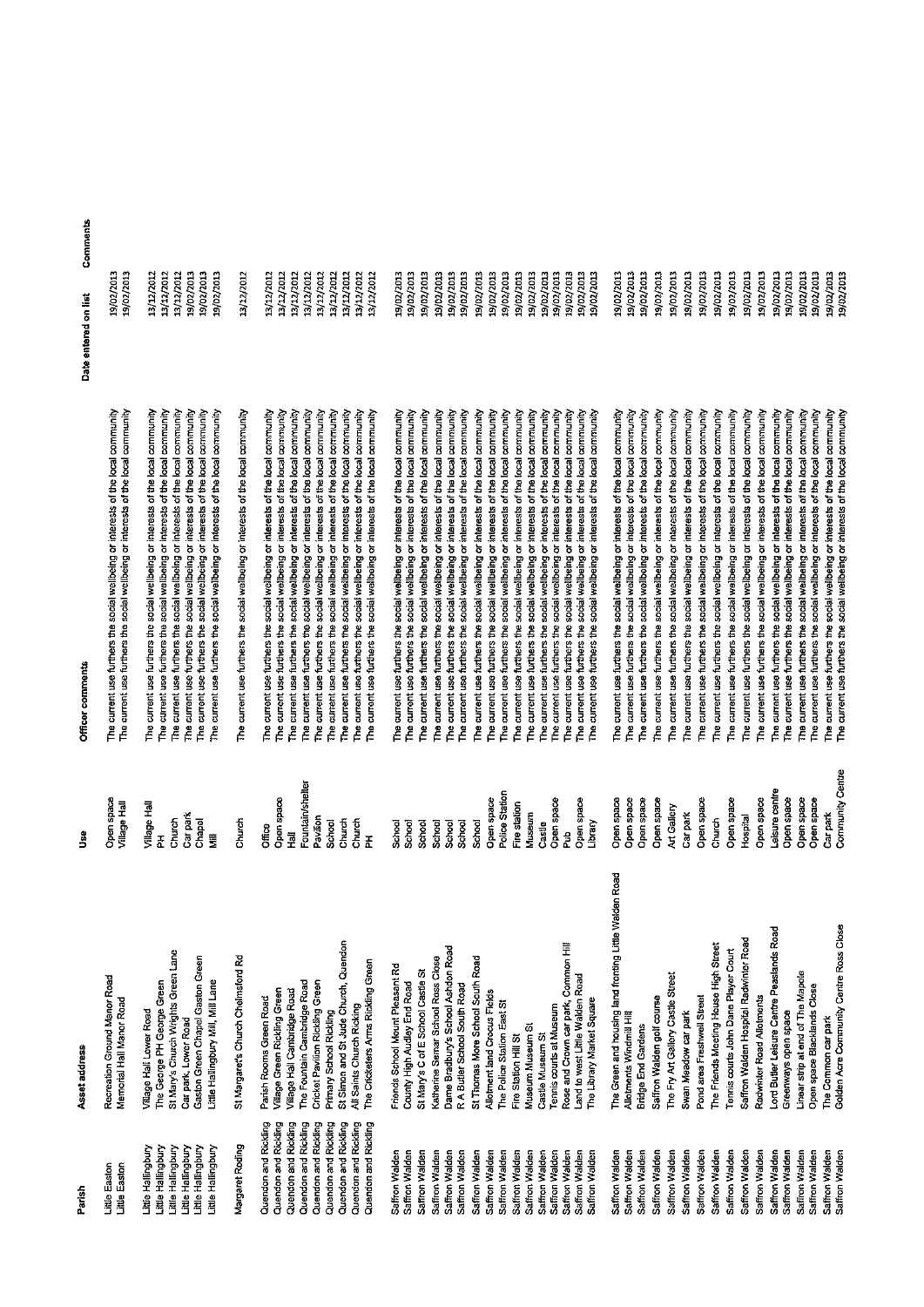| Parish                                   | Asset address                                                      | š                          | Officer comments                                                                                                                                                        | Date entered on list     | Comments |
|------------------------------------------|--------------------------------------------------------------------|----------------------------|-------------------------------------------------------------------------------------------------------------------------------------------------------------------------|--------------------------|----------|
| Little Easton<br>Little Easton           | Recreation Ground Manor Road<br>Memorial Hall Manor Road           | Open space<br>Village Hall | The current use furthers the social wellbeing or interests of the local community.<br>The current use furthers the social wellbeing or interests of the local community | 19/02/2013<br>19/02/2013 |          |
|                                          |                                                                    |                            |                                                                                                                                                                         |                          |          |
| Little Hallingbury<br>Little Hallingbury | The George PH George Green<br>Village Hall Lower Road              | Village Hall               | The current use furthers the social wellbeing or interests of the local community                                                                                       | 13/12/2012               |          |
| Little Hallingbury                       | St Mary's Church Wrights Green Lane                                | 준                          | The current use furthers the social wellbeing or interests of the local community                                                                                       | 13/12/2012               |          |
| Little Hallingbury                       | Car park, Lower Road                                               | Church                     | The current use furthers the social wellbeing or interests of the local community                                                                                       | 13/12/2012               |          |
| Little Hallingbury                       | Gaston Green Chapel Gaston Green                                   | Car park<br>Chapel         | The current use furthers the social wellbeing or interests of the local community                                                                                       | 19/02/2013               |          |
|                                          |                                                                    |                            | The current use furthers the social wellbeing or interests of the local community                                                                                       | 19/02/2013               |          |
| Little Hallingbury                       | Little Hallingbury Mill, Mill Lane                                 | Ë                          | The current use furthers the social wellbeing or interests of the local community                                                                                       | 19/02/2013               |          |
| Margaret Roding                          | St Margaret's Church Cheimsford Rd                                 | Church                     | The current use furthers the social wellbeing or interests of the local community                                                                                       | 13/12/2012               |          |
| Quendon and Rickling                     | Parish Rooms Green Road                                            | Office                     | The current use furthers the social wellbeing or interests of the local community                                                                                       |                          |          |
| Quendon and Rickling                     | Village Green Rickling Green                                       | Open space                 | The current use furthers the social wellbeing or interests of the local community                                                                                       | 13/12/2012               |          |
| Quendon and Rickling                     | Village Hall Cambridge Road                                        | Ī                          |                                                                                                                                                                         | 13/12/2012               |          |
| Quendon and Rickling                     | The Fountain Cambridge Road                                        | Fountain/shelter           | The current use furthers the social wellbeing or interests of the local community                                                                                       | 13/12/2012               |          |
| Quendon and Rickling                     | Cricket Pavilion Rickling Green                                    | Pavilion                   | The current use furthers the social wellbeing or interests of the local community                                                                                       | 13/12/2012               |          |
| Quendon and Rickling                     | Primary School Rickling                                            |                            | The current use furthers the social wellbeing or interests of the local community                                                                                       | 13/12/2012               |          |
| Quendon and Rickling                     | St Simon and St Jude Church, Quendon                               | Church<br>School           | The current use furthers the social wellbeing or interests of the local community                                                                                       | 13/12/2012               |          |
| Quendon and Rickling                     | All Saints Church Ricking                                          | Church                     | The current use furthers the social wellbeing or interests of the local community                                                                                       | 13/12/2012               |          |
| Quendon and Rickling                     | The Cricketers Arms Rickling Green                                 | Ŧ                          | The current use furthers the social wellbeing or interests of the local community<br>The current use furthers the social wellbeing or interests of the local community  | 13/12/2012<br>13/12/2012 |          |
| Saffron Walden                           | Friends School Mount Pleasant Rd                                   | School                     |                                                                                                                                                                         |                          |          |
| Saffron Walden                           | County High Audley End Road                                        | School                     | The current use furthers the social wellbeing or interests of the local community.<br>The current use furthers the social wellbeing or interests of the local community | 19/02/2013<br>19/02/2013 |          |
| Saffron Walden                           | St Mary's C of E School Castle St                                  | School                     | The current use furthers the social wellbeing or interests of the local community                                                                                       | 19/02/2013               |          |
| Saffron Walden                           |                                                                    |                            |                                                                                                                                                                         |                          |          |
|                                          | Katherine Sernar School Ross Close                                 | School                     | The current use furthers the social wellbeing or interests of the local community                                                                                       | 19/02/2013               |          |
| Saffron Walden<br>Saffron Walden         | Dame Bradbury's School Ashdon Road<br>R A Butler School South Road | School                     | The current use furthers the social wellbeing or interests of the local community                                                                                       | 19/02/2013               |          |
|                                          |                                                                    | School                     | The current use furthers the social wellbeing or interests of the local community                                                                                       | 19/02/2013               |          |
| Saffron Walden                           | St Thomas More School South Road                                   | School                     | The current use furthers the social wellbeing or interests of the local community                                                                                       | 19/02/2013               |          |
| Saffron Walden                           | Allotment land Crocus Fields                                       | Open space                 | The current use furthers the social wellbeing or interests of the local community                                                                                       | 19/02/2013               |          |
| Saffron Walden                           | The Police Station East St                                         | Police Station             | The current use furthers the social wellbeing or interests of the local community                                                                                       | 19/02/2013               |          |
| Saffron Walden                           | Fire Station Hill St                                               | Fire station               | The current use furthers the social wellbeing or interests of the local community                                                                                       | 19/02/2013               |          |
| Saffron Walden                           | Museum Museum St                                                   | Museum                     | The current use furthers the social wellbeing or interests of the local community                                                                                       | 19/02/2013               |          |
| Saffron Walden                           | Castle Museum St                                                   | Castle                     | The current use furthers the social wellbeing or interests of the local community                                                                                       | 19/02/2013               |          |
| Saffron Walden                           | Tennis courts at Museum                                            | Open space                 | The current use furthers the social wellbeing or interests of the local community                                                                                       | 19/02/2013               |          |
| Saffron Walden                           | Common Hill<br>Rose and Crown car park,                            | ard,                       | The current use furthers the social wellbeing or interests of the local community                                                                                       | 19/02/2013               |          |
| Safton Walden                            | Land to west Little Walden Road                                    | Open space                 |                                                                                                                                                                         | 19/02/2013               |          |
| Safiron Walden                           | The Library Market Square                                          | Library                    | The current use furthers the social wellbeing or interests of the local community.<br>The current use furthers the social wellbeing or interests of the local community | 19/02/2013               |          |
| Saffron Walden                           | The Green and housing land fronting Little Walden Road             | Open space                 | The current use furthers the social wellbeing or interests of the local community                                                                                       | 19/02/2013               |          |
| Saffron Walden                           | Allotments Windmill Hill                                           | Open space                 | The current use furthers the social wellbeing or interests of the local community                                                                                       | 19/02/2013               |          |
| Saffron Walden                           | <b>Bridge End Gardens</b>                                          | Open space                 | The current use furthers the social wellbeing or interests of the local community                                                                                       | 19/02/2013               |          |
| Saffron Walden                           | Saffron Walden golf course                                         | Open space                 | The current use furthers the social wellbeing or interests of the local community                                                                                       | 19/02/2013               |          |
| Saffron Walden                           | The Fry Art Gallery Castle Street                                  | Art Gallery                | The current use furthers the social wellbeing or interests of the local community                                                                                       | 19/02/2013               |          |
| Saffron Walden                           | Swan Meadow car park                                               | Car park                   | The current use furthers the social wellbeing or interests of the local community                                                                                       | 19/02/2013               |          |
| Saffron Walden                           | Pond area Freshwell Street                                         | Open space                 | The current use furthers the social wellbeing or interests of the local community                                                                                       | 19/02/2013               |          |
| Saffron Walden                           | The Friends Meeting House High Street                              | Church                     | The current use furthers the social wellbeing or interests of the local community                                                                                       | 19/02/2013               |          |
| Saffron Walden                           | Tennis courts John Dane Player Court                               | Open space                 | The current use furthers the social wellbeing or interests of the local community                                                                                       | 19/02/2013               |          |
| Saffron Walden                           | Saffron Walden Hospital Radwinter Road                             | Hospital                   | The current use furthers the social wellbeing or interests of the local community                                                                                       | 19/02/2013               |          |
| Saffron Walden                           | Radwinter Road Allotments                                          | Open space                 | The current use furthers the social wellbeing or interests of the local community                                                                                       | 19/02/2013               |          |
| Saffron Walden                           | Lord Butler Leisure Centre Peaslands Road                          | eisure centre              |                                                                                                                                                                         |                          |          |
| Saffron Walden                           | Greenways open space                                               | Open space                 | The current use furthers the social wellbeing or interests of the local community<br>The current use furthers the social wellbeing or interests of the local community  | 19/02/2013<br>19/02/2013 |          |
| Safiron Walden                           | Linear strip at end of The Mapole                                  | Open space                 | The current use furthers the social wellbeing or interests of the local community                                                                                       | 19/02/2013               |          |
| Saffron Walden                           | Open space Blacklands Close                                        | Open space                 | The current use furthers the social wellbeing or interests of the local community                                                                                       | 19/02/2013               |          |
| Saffron Walden                           | The Common car park                                                | Car park                   | The current use furthers the social wellbeing or interests of the local community                                                                                       | 19/02/2013               |          |
| Saffron Walden                           | Golden Acre Community Centre Ross Close                            | Community Centre           | The current use furthers the social wellbeing or interests of the local community                                                                                       | 19/02/2013               |          |
|                                          |                                                                    |                            |                                                                                                                                                                         |                          |          |
|                                          |                                                                    |                            |                                                                                                                                                                         |                          |          |
|                                          |                                                                    |                            |                                                                                                                                                                         |                          |          |
|                                          |                                                                    |                            |                                                                                                                                                                         |                          |          |
|                                          |                                                                    |                            |                                                                                                                                                                         |                          |          |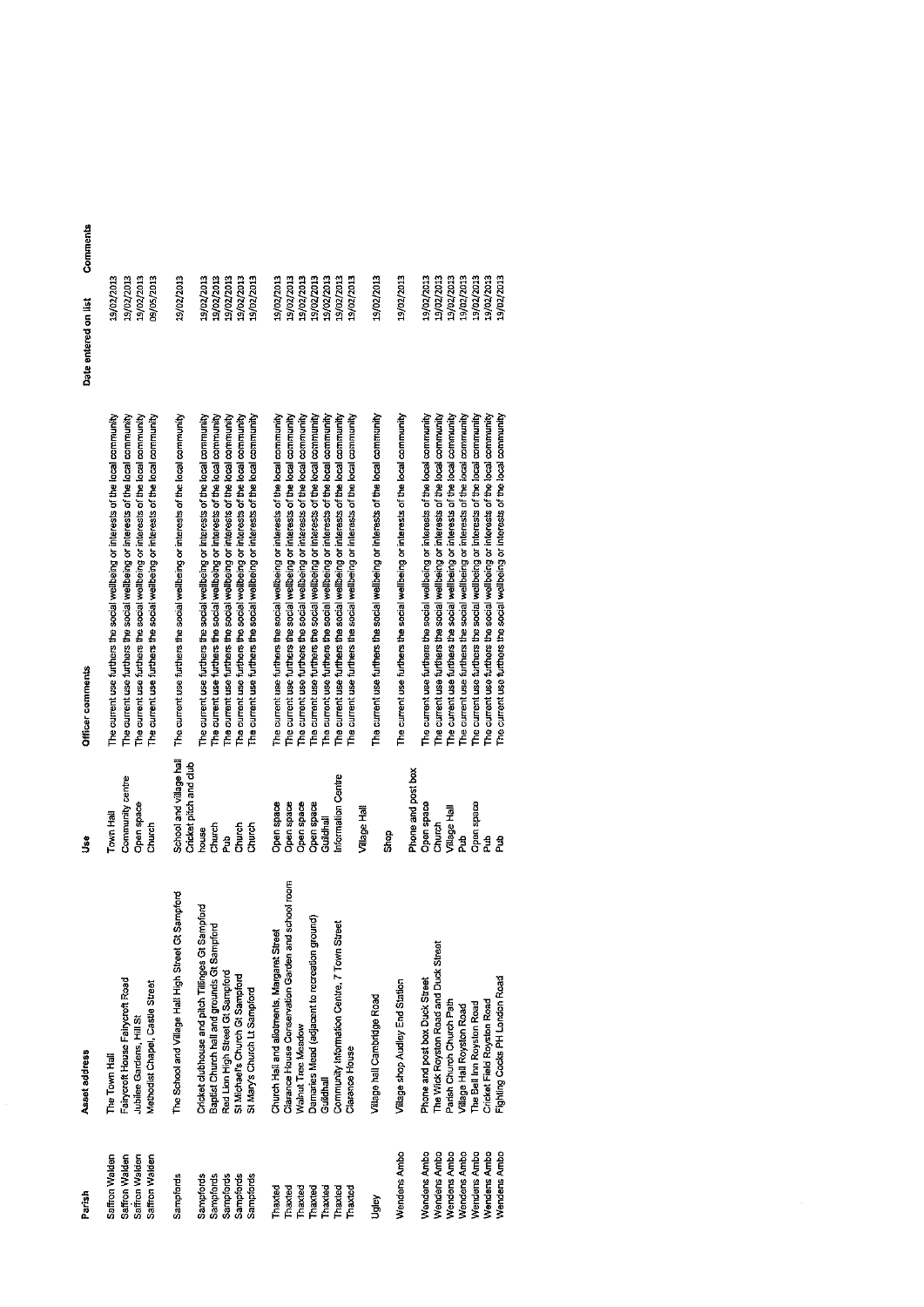| Parish         | Asset address                                       | Se<br>S                                           | Officer comments                                                                  | Comments<br>Date entered on list |  |
|----------------|-----------------------------------------------------|---------------------------------------------------|-----------------------------------------------------------------------------------|----------------------------------|--|
| Saffron Walden | The Town Hall                                       | Town Hall                                         | The current use furthers the social wellbeing or interests of the local community | 19/02/2013                       |  |
| Saffron Walden | Fairycroft House Fairycroft Road                    | Community centre                                  | The current use furthers the social wellbeing or interests of the local community | 19/02/2013                       |  |
| Saffron Walden | Jubilee Gardens, Hill St                            | Open space                                        | The current use furthers the social wellbeing or interests of the local community | 19/02/2013                       |  |
| Saffron Walden | Methodist Chapel, Castle Street                     | Church                                            | The current use furthers the social wellbeing or interests of the local community | 09/05/2013                       |  |
| Sampfords      | The School and Village Hall High Street Gt Sampford | School and village hall<br>Cricket pitch and club | The current use furthers the social wellbeing or interests of the local community | 19/02/2013                       |  |
| Sampfords      | Cricket clubhouse and pitch Tillinges Gt Sampford   | house                                             | The current use furthers the social wellbeing or interests of the local community | 19/02/2013                       |  |
| Samptords      | Baptist Church hall and grounds Gt Sampford         | Church                                            | The current use furthers the social wellbeing or interests of the local community | 19/02/2013                       |  |
| Sampfords      | Red Lion High Street Gt Sampford                    | å                                                 | The current use furthers the social wellbeing or interests of the local community | 19/02/2013                       |  |
| Sampfords      | St Michael's Church Gt Sampford                     | Church                                            | The current use furthers the social wellbeing or interests of the local community | 19/02/2013                       |  |
| Sampfords      | St Mary's Church Lt Sampford                        | Church                                            | The current use furthers the social wellbeing or interests of the local community | 19/02/2013                       |  |
| Thaxted        | Church Hall and allotments, Margaret Street         | Open space                                        | The current use furthers the social wellbeing or interests of the local community | 19/02/2013                       |  |
| Thaxted        | Clarance House Conservation Garden and school room  | Open space                                        | The current use furthers the social wellbeing or interests of the local community | 19/02/2013                       |  |
| Thaxted        | Wainut Tree Meadow                                  | Open space                                        | The current use furthers the social wellbeing or interests of the local community | 19/02/2013                       |  |
| Thaxted        | Damaries Mead (adjacent to recreation ground        | Open space                                        | The current use furthers the social wellbeing or interests of the local community | 19/02/2013                       |  |
| Thaxted        | Guildhall                                           | Guildhail                                         | The current use furthers the social wellbeing or interests of the local community | 19/02/2013                       |  |
| Thaxted        | Community Information Centre, 7 Town Street         | <b>Information Centre</b>                         | The current use furthers the social wellbeing or interests of the local community | 19/02/2013                       |  |
| Thaxted        | Clarance House                                      |                                                   | The current use furthers the social wellbeing or interests of the local community | 19/02/2013                       |  |
|                |                                                     | Vilage Hall                                       |                                                                                   |                                  |  |
| Ugley          | Village hall Cambridge Road                         |                                                   | The current use furthers the social wellbeing or interests of the local community | 19/02/2013                       |  |
|                |                                                     | Shop                                              |                                                                                   |                                  |  |
| Wendens Ambo   | Village shop Audley End Station                     |                                                   | The current use furthers the social wellbeing or interests of the local community | 19/02/2013                       |  |
|                |                                                     | Phone and post box                                |                                                                                   |                                  |  |
| Wendens Ambo   | Phone and post box Duck Street                      | Open space                                        | The current use furthers the social wellbeing or interests of the local community | 19/02/2013                       |  |
| Wendens Ambo   | The Wick Royston Road and Duck Street               | Church                                            | The current use furthers the social wellbeing or interests of the local community | 19/02/2013                       |  |
| Wenders Ambo   | Parish Church Church Path                           | Village Hall                                      | The current use furthers the social wellbeing or interests of the local community | 19/02/2013                       |  |
| Wendens Ambo   | Village Hail Royston Road                           | a<br>A                                            | The current use furthers the social wellbeing or interests of the local community | 19/02/2013                       |  |
| Wendens Ambo   | The Bell Inn Royston Road                           | Open space                                        | The current use furthers the social wellbeing or interests of the local community | 19/02/2013                       |  |
| Wendens Ambo   | Cricket Field Royston Road                          | å                                                 | The current use furthers the social wellbeing or interests of the local community | 19/02/2013                       |  |
| Wendens Ambo   | Fighting Cocks PH London Road                       | a<br>L                                            | The current use furthers the social wellbeing or interests of the local community | 19/02/2013                       |  |

 $\bar{z}$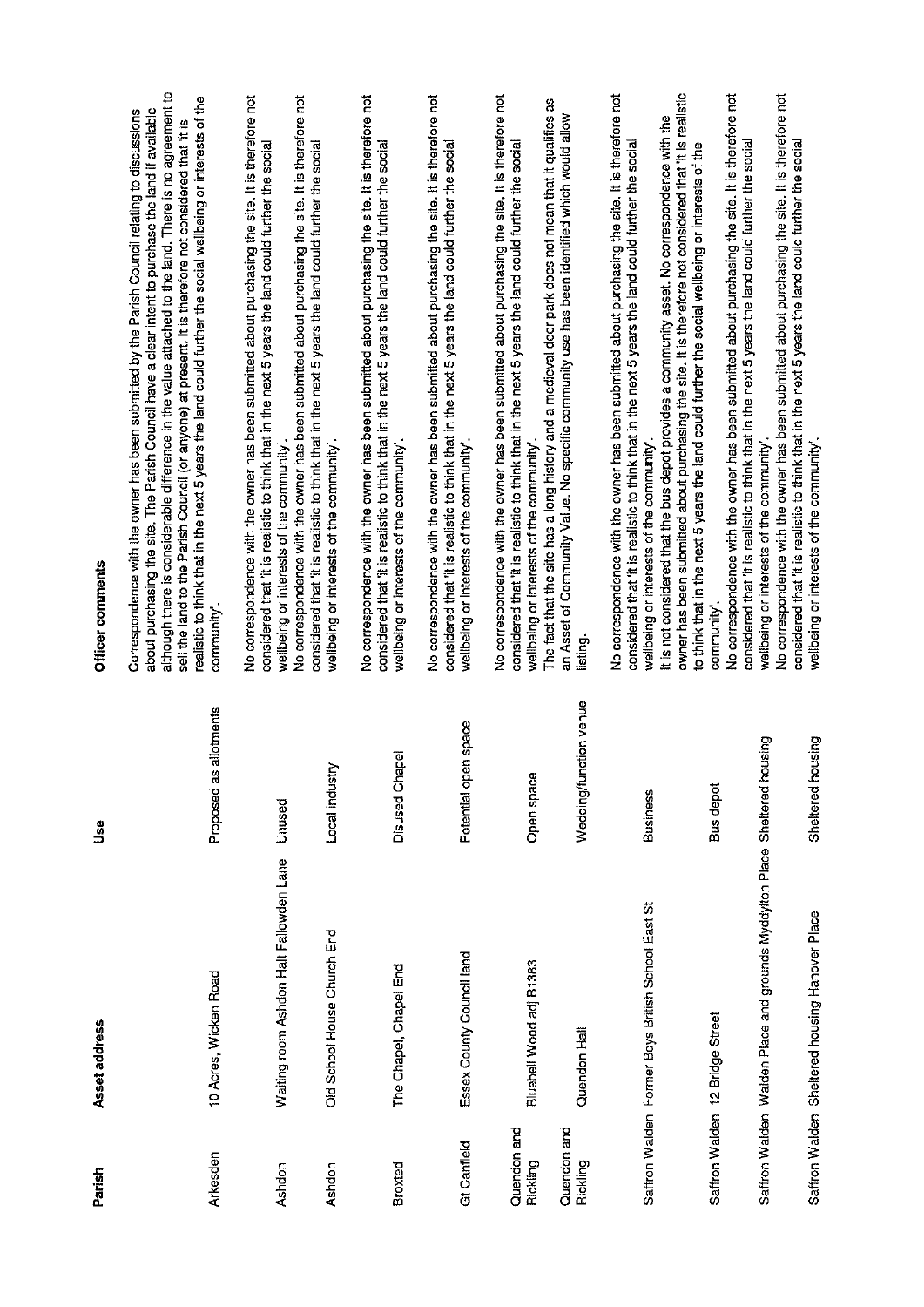| Parish                  | Asset address                                                             | <b>Jse</b>                 | although there is considerable difference in the value attached to the land. There is no agreement to<br>about purchasing the site. The Parish Council have a clear intent to purchase the land if available<br>Correspondence with the owner has been submitted by the Parish Council relating to discussions<br>Officer comments                                                                                                                                  |
|-------------------------|---------------------------------------------------------------------------|----------------------------|---------------------------------------------------------------------------------------------------------------------------------------------------------------------------------------------------------------------------------------------------------------------------------------------------------------------------------------------------------------------------------------------------------------------------------------------------------------------|
| Arkesden                | 10 Acres, Wicken Road                                                     | allotments<br>Proposed as  | the<br>No correspondence with the owner has been submited about purchasing the site. It is therefore not<br>realistic to think that in the next 5 years the land could further the social wellbeing or interests of<br>sell the land to the Parish Council (or anyone) at present. It is therefore not considered that 't is<br>community                                                                                                                           |
| Ashdon                  | Waiting room Ashdon Halt Fallowden Lane                                   | Unused                     | No correspondence with the owner has been submitted about purchasing the site. It is therefore not<br>considered that 'it is realistic to think that in the next 5 years the land could further the social<br>wellbeing or interests of the community'.                                                                                                                                                                                                             |
| Ashdon                  | Old School House Church End                                               | Local industry             | considered that 'it is realistic to think that in the next 5 years the land could further the social<br>wellbeing or interests of the community.                                                                                                                                                                                                                                                                                                                    |
| Broxted                 | The Chapel, Chapel End                                                    | g<br>Disused Cha           | No correspondence with the owner has been submitted about purchasing the site. It is therefore not<br>considered that 'it is realistic to think that in the next 5 years the land could further the social<br>wellbeing or interests of the community'.                                                                                                                                                                                                             |
| <b>Gt Canfield</b>      | Essex County Council land                                                 | Potential open space       | No correspondence with the owner has been submitted about purchasing the site. It is therefore not<br>considered that 'It is realistic to think that in the next 5 years the land could further the social<br>wellbeing or interests of the community.                                                                                                                                                                                                              |
| Quendon and<br>Rickling | Bluebell Wood adj B1383                                                   | Open space                 | No correspondence with the owner has been submitted about purchasing the site. It is therefore not<br>considered that it is realistic to think that in the next 5 years the land could further the social<br>wellbeing or interests of the community'.                                                                                                                                                                                                              |
| Quendon and<br>Rickling | Quendon Hall                                                              | ction venue<br>Wedding/fur | The fact that the site has a long history and a medieval deer park does not mean that it qualifies as<br>an Asset of Community Value. No specific community use has been identified which would allow<br>listing.                                                                                                                                                                                                                                                   |
|                         | Saffron Walden Former Boys British School East St                         | <b>Business</b>            | owner has been submitted about purchasing the site. It is therefore not considered that it is realistic<br>No correspondence with the owner has been submitted about purchasing the site. It is therefore not<br>It is not considered that the bus depot provides a community asset. No correspondence with the<br>considered that 'it is realistic to think that in the next 5 years the land could further the social<br>wellbeing or interests of the community. |
|                         | Saffron Walden 12 Bridge Street                                           | <b>Bus depot</b>           | No correspondence with the owner has been submitted about purchasing the site. It is therefore not<br>to think that in the next 5 years the land could further the social wellbeing or interests of the<br>community.                                                                                                                                                                                                                                               |
|                         | Saffron Walden Walden Place and grounds Myddylton Place Sheltered housing |                            | No correspondence with the owner has been submitted about purchasing the site. It is therefore not<br>considered that it is realistic to think that in the next 5 years the land could further the social<br>wellbeing or interests of the community'.                                                                                                                                                                                                              |
|                         | Saffron Walden Sheltered housing Hanover Place                            | Sheltered housing          | considered that 'it is realistic to think that in the next 5 years the land could further the social<br>wellbeing or interests of the community.                                                                                                                                                                                                                                                                                                                    |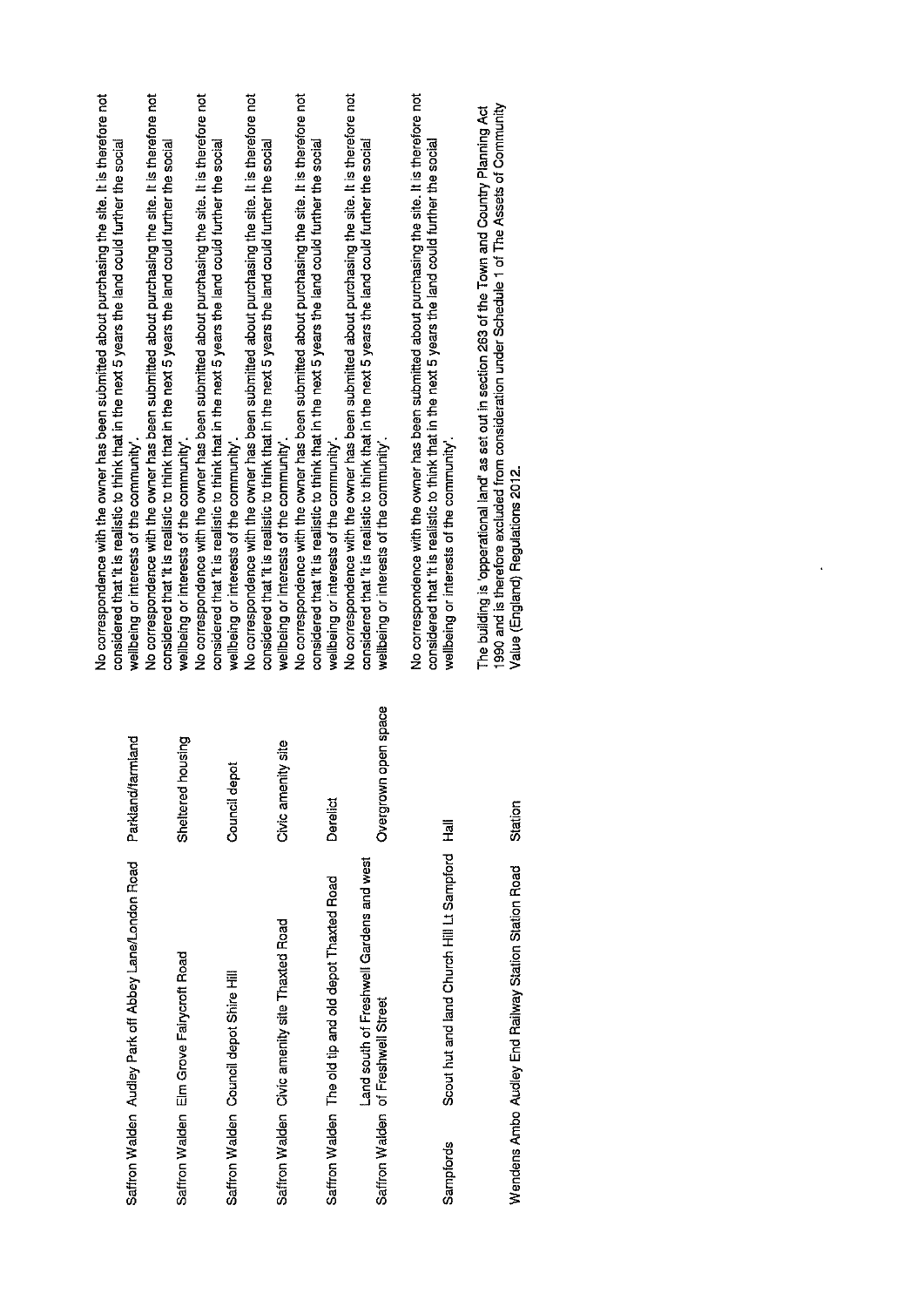| Saffron Walden Audley Park off Abbey Lane/London Road                          | Parkland/farmland           | No correspondence with the owner has been submitted about purchasing the site. It is therefore not<br>considered that it is realistic to think that in the next 5 years the land could further the social<br>wellbeing or interests of the community'.  |
|--------------------------------------------------------------------------------|-----------------------------|---------------------------------------------------------------------------------------------------------------------------------------------------------------------------------------------------------------------------------------------------------|
| Saffron Walden Elm Grove Fairycroft Road                                       | housing<br><b>Sheltered</b> | No correspondence with the owner has been submitted about purchasing the site. It is therefore not<br>considered that 'it is realistic to think that in the next 5 years the land could further the social<br>wellbeing or interests of the community'. |
| Saffron Walden Council depot Shire Hill                                        | Council depot               | No correspondence with the owner has been submitted about purchasing the site. It is therefore not<br>considered that 'it is realistic to think that in the next 5 years the land could further the social<br>wellbeing or interests of the community.  |
| Saffron Walden Civic amenity site Thaxted Road                                 | Civic amenity site          | No correspondence with the owner has been submitted about purchasing the site. It is therefore not<br>considered that 'it is realistic to think that in the next 5 years the land could further the social<br>wellbeing or interests of the community.  |
| Saffron Walden The old tip and old depot Thaxted Road                          | Derelict                    | No correspondence with the owner has been submitted about purchasing the site. It is therefore not<br>considered that it is realistic to think that in the next 5 years the land could further the social<br>wellbeing or interests of the community.   |
| Land south of Freshwell Gardens and west<br>Saffron Walden of Freshwell Street | open space<br>Overgrown     | No correspondence with the owner has been submitted about purchasing the site. It is therefore not<br>considered that it is realistic to think that in the next 5 years the land could further the social<br>wellbeing or interests of the community.   |
| Scout hut and land Church Hill Lt Sampford<br>Sampfords                        | 군<br>도                      | No correspondence with the owner has been submitted about purchasing the site. It is therefore not<br>considered that 't is realistic to think that in the next 5 years the land could further the social<br>wellbeing or interests of the community'.  |
| Wendens Ambo Audley End Railway Station Station Road                           | Station                     | 1990 and is therefore excluded from consideration under Schedule 1 of The Assets of Community<br>The building is 'opperational land' as set out in section 263 of the Town and Country Planning Act<br>Value (England) Regulations 2012.                |
|                                                                                |                             |                                                                                                                                                                                                                                                         |

 $\ddot{\phantom{0}}$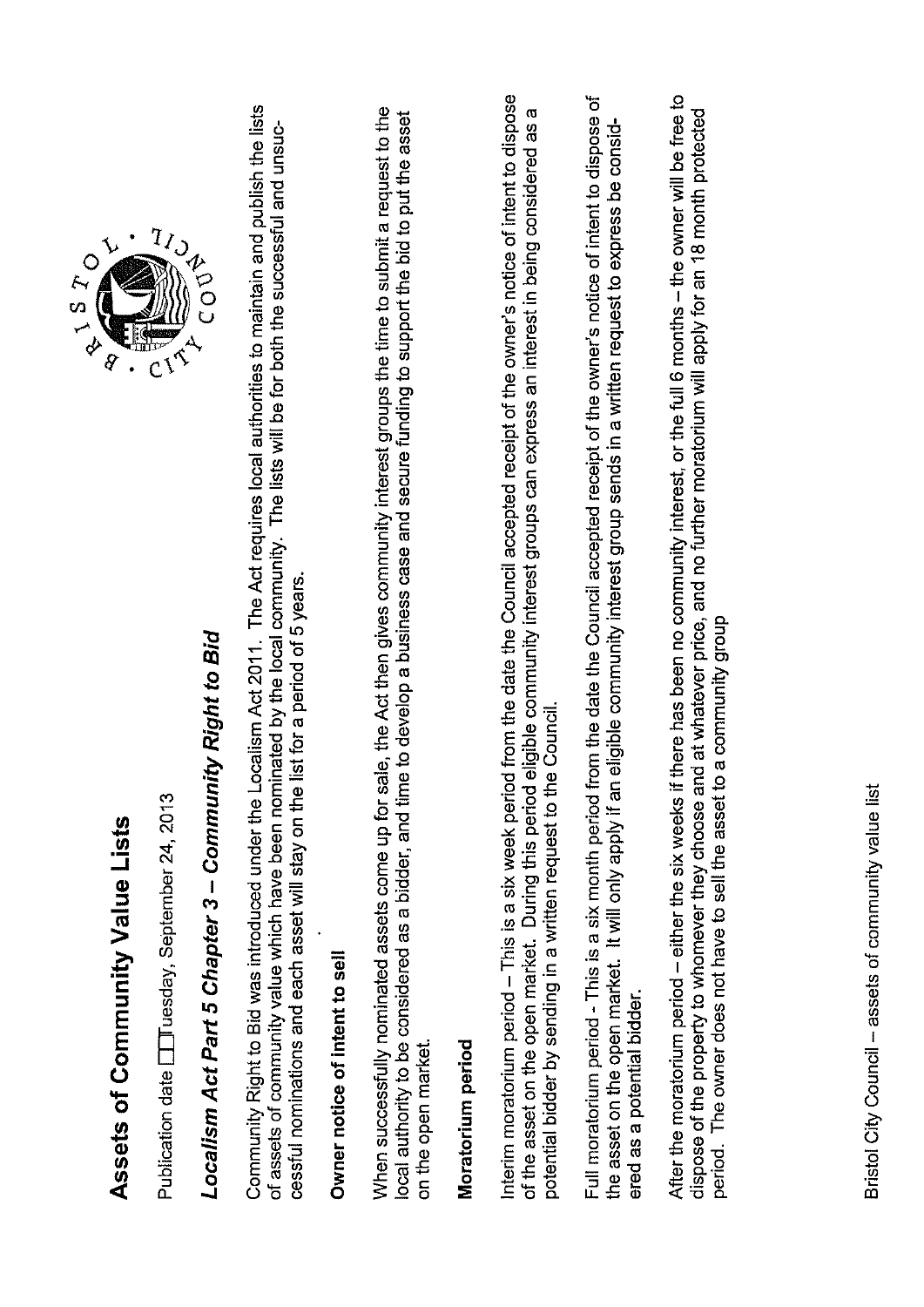# Assets of Community Value Lists

Publication date **I**Tuesday, September 24, 2013

### $1<sub>J</sub>$ 1570 Þ

# Localism Act Part 5 Chapter 3 - Community Right to Bid

Community Right to Bid was introduced under the Localism Act 2011. The Act requires local authorities to maintain and publish the lists of assets of community value which have been nominated by the local community. The lists will be for both the successful and unsuccessful nominations and each asset will stay on the list for a period of 5 years.

### Owner notice of intent to sell

When successfully nominated assets come up for sale, the Act then gives community interest groups the time to submit a request to the local authority to be considered as a bidder, and time to develop a business case and secure funding to support the bid to put the asset on the open market

### Moratorium period

Interim moratorium period - This is a six week period from the date the Council accepted receipt of the owner's notice of intent to dispose of the asset on the open market. During this period eligible community interest groups can express an interest in being considered as a potential bidder by sending in a written request to the Council.

Full moratorium period - This is a six month period from the date the Council accepted receipt of the owner's notice of intent to dispose of the asset on the open market. It will only apply if an eligible community interest group sends in a written request to express be considered as a potential bidder. After the moratorium period - either the six weeks if there has been no community interest, or the full 6 months - the owner will be free to dispose of the property to whomever they choose and at whatever price, and no further moratorium will apply for an 18 month protected period. The owner does not have to sell the asset to a community group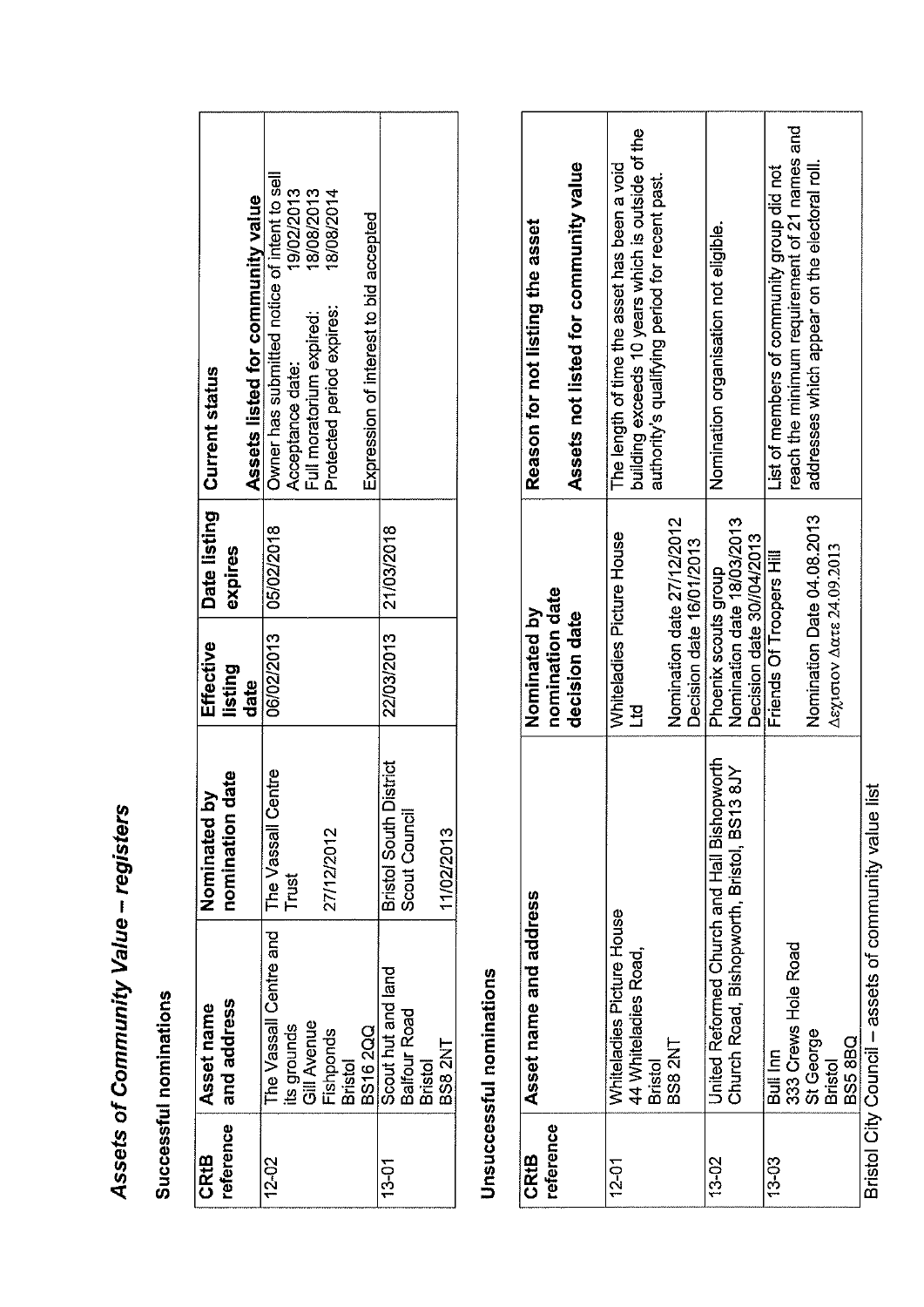| Ī<br>١                                |
|---------------------------------------|
|                                       |
|                                       |
| )<br> <br> <br>$\overline{1}$         |
|                                       |
|                                       |
|                                       |
|                                       |
| i i i i                               |
|                                       |
| in the light of the light of the con- |
|                                       |
| ֠                                     |
| ֧֛֚֬֜                                 |
| ć                                     |
|                                       |
| $\frac{1}{2}$                         |
|                                       |
|                                       |
|                                       |

Successful nominations

| reference<br><b>CRtB</b> | and address<br>Asset name | date<br><u>ۃ</u><br>Nominated<br>nomination | Effective<br>listing | expires    | Date listing   Current status                |
|--------------------------|---------------------------|---------------------------------------------|----------------------|------------|----------------------------------------------|
|                          |                           |                                             | date                 |            | Assets listed for community value            |
| 12-02                    | The Vassall Centre and    | Centre<br>The Vassall                       | 06/02/2013           | 05/02/2018 | Owner has submitted notice of intent to sell |
|                          | ts grounds                | Trust                                       |                      |            | 19/02/2013<br>Acceptance date:               |
|                          | Gill Avenue               |                                             |                      |            | 18/08/2013<br>Full moratorium expired:       |
|                          | Fishponds                 | 27/12/2012                                  |                      |            | 18/08/2014<br>Protected period expires:      |
|                          | <b>Bristol</b>            |                                             |                      |            |                                              |
|                          | <b>BS162QQ</b>            |                                             |                      |            | Expression of interest to bid accepted       |
| 13-01                    | Scout hut and land        | District<br><b>Bristol South</b>            | 22/03/2013           | 21/03/2018 |                                              |
|                          | <b>Balfour Road</b>       | Scout Council                               |                      |            |                                              |
|                          | Bristol                   |                                             |                      |            |                                              |
|                          | <b>BS82NT</b>             | 11/02/2013                                  |                      |            |                                              |

### Unsuccessful nominations

| reference<br>CRtB | Asset name and address                                            | nomination date<br>Nominated by | Reason for not listing the asset                                                                  |
|-------------------|-------------------------------------------------------------------|---------------------------------|---------------------------------------------------------------------------------------------------|
|                   |                                                                   | decision date                   | Assets not listed for community value                                                             |
| $12-01$           | Whiteladies Picture House<br>44 Whiteladies Road,                 | Whiteladies Picture House<br>E  | building exceeds 10 years which is outside of the<br>The length of time the asset has been a void |
|                   | <b>Bristol</b>                                                    |                                 | authority's qualifying period for recent past.                                                    |
|                   | <b>BSS 2NT</b>                                                    | Nomination date 27/12/2012      |                                                                                                   |
|                   |                                                                   | Decision date 16/01/2013        |                                                                                                   |
| $13-02$           | United Reformed Church and Hall Bishopworth                       | Phoenix scouts group            | Nomination organisation not eligible.                                                             |
|                   | Church Road, Bishopworth, Bristol, BS13 8JY                       | Nomination date 18/03/2013      |                                                                                                   |
|                   |                                                                   | Decision date 30//04/2013       |                                                                                                   |
| $13 - 03$         | <b>Bull Inn</b>                                                   | Friends Of Troopers Hill        | List of members of community group did not                                                        |
|                   | 333 Crews Hole Road                                               |                                 | reach the minimum requirement of 21 names and                                                     |
|                   | St George                                                         | Nomination Date 04.08.2013      | addresses which appear on the electoral roll.                                                     |
|                   | <b>Bristol</b>                                                    | Δεχισιον Δατε 24.09.2013        |                                                                                                   |
|                   | <b>BS58BQ</b>                                                     |                                 |                                                                                                   |
|                   | $\frac{1}{2}$<br>Bristol City Council - assets of community value |                                 |                                                                                                   |